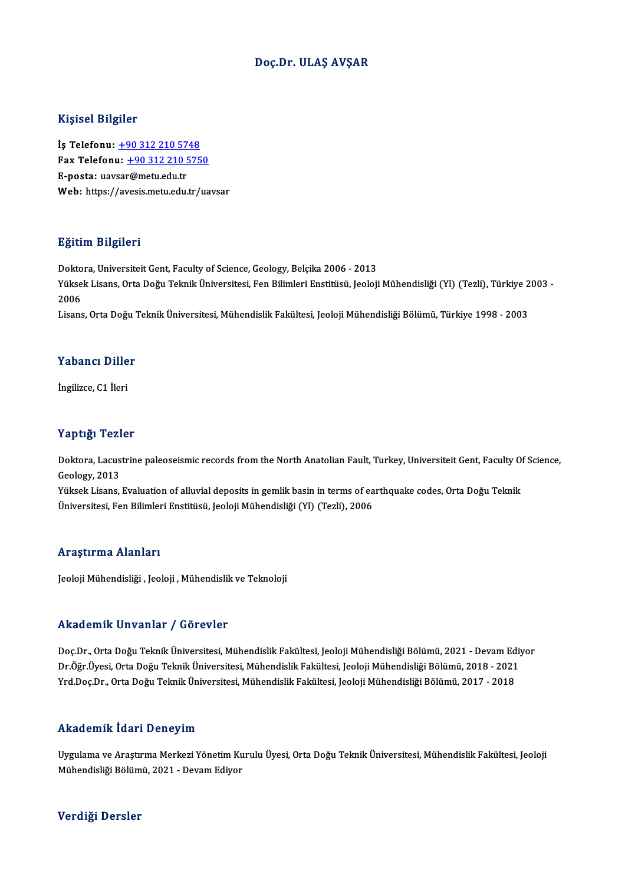### Doç.Dr. ULAŞ AVŞAR

#### Kişisel Bilgiler

Kişisel Bilgiler<br>İş Telefonu: <u>+90 312 210 5748</u><br>Fax Telefonu: +90 312 310 575 1133001 2115101<br>İş Telefonu: <u>+90 312 210 5748</u><br>Fax Telefonu: <u>+90 312 210 5750</u><br>Fansta: uavrer@metu.edu.tr İş Telefonu: <u>+90 312 210 57</u><br>Fax Telefonu: <u>+90 312 210 5</u><br>E-posta: uav[sar](tel:+90 312 210 5748)[@metu.edu.tr](tel:+90 312 210 5750)<br>Web: https://avsais.metu.edu.tr Fax Telefonu: <u>+90 312 210 5750</u><br>E-posta: uavsar@metu.edu.tr<br>Web: https://avesis.metu.edu.tr/uavsar

#### Eğitim Bilgileri

<mark>Eğitim Bilgileri</mark><br>Doktora, Universiteit Gent, Faculty of Science, Geology, Belçika 2006 - 2013<br>Yüksek Lisans, Orta Doğu Telmik Üniversitesi, Fan Bilimleri Enstitüsü, Jeolaji 25.0.1.1. Dirgirori<br>Doktora, Universiteit Gent, Faculty of Science, Geology, Belçika 2006 - 2013<br>Yüksek Lisans, Orta Doğu Teknik Üniversitesi, Fen Bilimleri Enstitüsü, Jeoloji Mühendisliği (Yl) (Tezli), Türkiye 2003 -Dokto<br>Yükse<br>2006<br>Lisare Yüksek Lisans, Orta Doğu Teknik Üniversitesi, Fen Bilimleri Enstitüsü, Jeoloji Mühendisliği (Yl) (Tezli), Türkiye 2<br>2006<br>Lisans, Orta Doğu Teknik Üniversitesi, Mühendislik Fakültesi, Jeoloji Mühendisliği Bölümü, Türkiye 19

Lisans, Orta Doğu Teknik Üniversitesi, Mühendislik Fakültesi, Jeoloji Mühendisliği Bölümü, Türkiye 1998 - 2003<br>Yabancı Diller

İngilizce, C1 İleri

#### Yaptığı Tezler

Yaptığı Tezler<br>Doktora, Lacustrine paleoseismic records from the North Anatolian Fault, Turkey, Universiteit Gent, Faculty Of Science,<br>Cealagy, 2012 Geology,2013 Doktora, Lacustrine paleoseismic records from the North Anatolian Fault, Turkey, Universiteit Gent, Faculty Of<br>Geology, 2013<br>Yüksek Lisans, Evaluation of alluvial deposits in gemlik basin in terms of earthquake codes, Orta

Yüksek Lisans, Evaluation of alluvial deposits in gemlik basin in terms of earthquake codes, Orta Doğu Teknik<br>Üniversitesi, Fen Bilimleri Enstitüsü, Jeoloji Mühendisliği (Yl) (Tezli), 2006

#### Araştırma Alanları

Jeoloji Mühendisliği , Jeoloji , Mühendislik ve Teknoloji

#### Akademik Unvanlar / Görevler

Doç.Dr., Orta Doğu Teknik Üniversitesi, Mühendislik Fakültesi, Jeoloji Mühendisliği Bölümü, 2021 - Devam Ediyor rrittat oririk "ori varirak" yı tist ovror<br>Doç.Dr., Orta Doğu Teknik Üniversitesi, Mühendislik Fakültesi, Jeoloji Mühendisliği Bölümü, 2021 - Devam Ediy<br>Vrd Doc.Dr., Orta Doğu Teknik Üniversitesi, Mühendislik Fakültesi, Je Doç.Dr., Orta Doğu Teknik Üniversitesi, Mühendislik Fakültesi, Jeoloji Mühendisliği Bölümü, 2021 - Devam Ed<br>Dr.Öğr.Üyesi, Orta Doğu Teknik Üniversitesi, Mühendislik Fakültesi, Jeoloji Mühendisliği Bölümü, 2018 - 2021<br>Yrd.D Yrd,Doç,Dr., Orta Doğu Teknik Üniversitesi, Mühendislik Fakültesi, Jeoloji Mühendisliği Bölümü, 2017 - 2018<br>Akademik İdari Deneyim

Akademik İdari Deneyim<br>Uygulama ve Araştırma Merkezi Yönetim Kurulu Üyesi, Orta Doğu Teknik Üniversitesi, Mühendislik Fakültesi, Jeoloji<br>Mühendisliği Bölümü, 2021, Dayam Ediyar misla Sinin Talah Posnoy ilir.<br>Uygulama ve Araştırma Merkezi Yönetim Ku<br>Mühendisliği Bölümü, 2021 - Devam Ediyor Mühendisliği Bölümü, 2021 - Devam Ediyor<br>Verdiği Dersler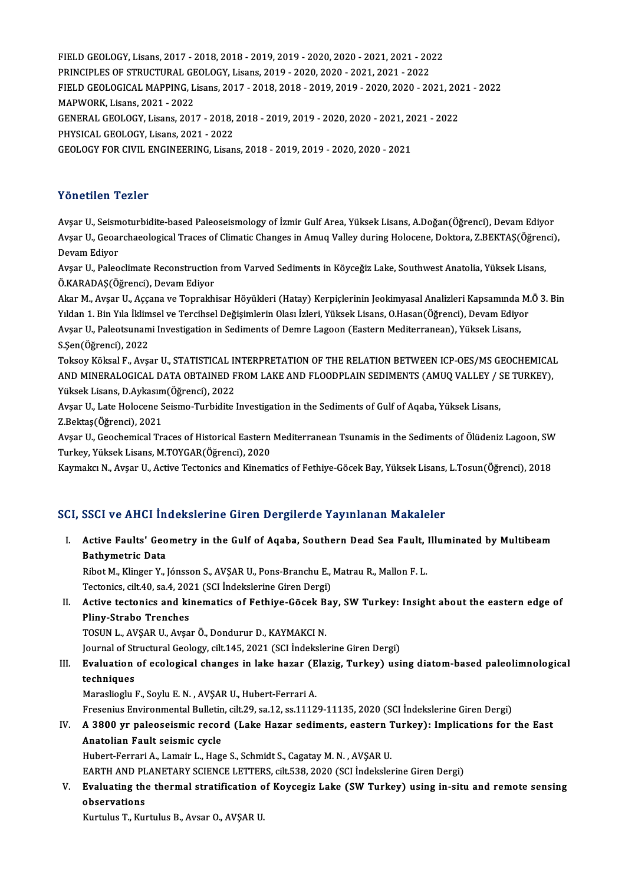FIELD GEOLOGY, Lisans, 2017 - 2018, 2018 - 2019, 2019 - 2020, 2020 - 2021, 2021 - 2022<br>PRINCIPLES OF STRUCTURAL CEOLOGY, Lisans, 2019, 2020, 2020, 2021, 2021, 2022 FIELD GEOLOGY, Lisans, 2017 - 2018, 2018 - 2019, 2019 - 2020, 2020 - 2021, 2021 - 20<br>PRINCIPLES OF STRUCTURAL GEOLOGY, Lisans, 2019 - 2020, 2020 - 2021, 2021 - 2022<br>FIELD CEOLOGICAL MAPPING Lisans, 2017, 2018, 2019, 2019, FIELD GEOLOGY, Lisans, 2017 - 2018, 2018 - 2019, 2019 - 2020, 2020 - 2021, 2021 - 2022<br>PRINCIPLES OF STRUCTURAL GEOLOGY, Lisans, 2019 - 2020, 2020 - 2021, 2021 - 2022<br>FIELD GEOLOGICAL MAPPING, Lisans, 2017 - 2018, 2018 - 2 PRINCIPLES OF STRUCTURAL GEOLOGY, Lisans, 2019 - 2020, 2020 - 2021, 2021 - 2022<br>FIELD GEOLOGICAL MAPPING, Lisans, 2017 - 2018, 2018 - 2019, 2019 - 2020, 2020 - 20<br>MAPWORK. Lisans. 2021 - 2022 FIELD GEOLOGICAL MAPPING, Lisans, 2017 - 2018, 2018 - 2019, 2019 - 2020, 2020 - 2021, 20:<br>MAPWORK, Lisans, 2021 - 2022<br>GENERAL GEOLOGY, Lisans, 2017 - 2018, 2018 - 2019, 2019 - 2020, 2020 - 2021, 2021 - 2022<br>PHYSICAL GEOLO MAPWORK, Lisans, 2021 - 2022<br>GENERAL GEOLOGY, Lisans, 2017 - 2018,<br>PHYSICAL GEOLOGY, Lisans, 2021 - 2022<br>CEOLOGY EOP CIVIL ENCINEERING, Lisan GENERAL GEOLOGY, Lisans, 2017 - 2018, 2018 - 2019, 2019 - 2020, 2020 - 2021, 2(<br>PHYSICAL GEOLOGY, Lisans, 2021 - 2022<br>GEOLOGY FOR CIVIL ENGINEERING, Lisans, 2018 - 2019, 2019 - 2020, 2020 - 2021 GEOLOGY FOR CIVIL ENGINEERING, Lisans, 2018 - 2019, 2019 - 2020, 2020 - 2021<br>Yönetilen Tezler

**Yönetilen Tezler**<br>Avşar U., Seismoturbidite-based Paleoseismology of İzmir Gulf Area, Yüksek Lisans, A.Doğan(Öğrenci), Devam Ediyor<br>Avşar U. Geoersbaselegisel Trasse of Climatis Changes in Amus Valley during Helesene, Dek 1 Oncenten 1 oncen<br>Avşar U., Seismoturbidite-based Paleoseismology of İzmir Gulf Area, Yüksek Lisans, A.Doğan(Öğrenci), Devam Ediyor<br>Avşar U., Geoarchaeological Traces of Climatic Changes in Amuq Valley during Holocene, Do Avşar U., Seism<br>Avşar U., Geoal<br>Devam Ediyor<br>Avsar II. Peleo Avşar U., Geoarchaeological Traces of Climatic Changes in Amuq Valley during Holocene, Doktora, Z.BEKTAŞ(Öğrenci),<br>Devam Ediyor<br>Avşar U., Paleoclimate Reconstruction from Varved Sediments in Köyceğiz Lake, Southwest Anatol

Avşar U., Paleoclimate Reconstruction from Varved Sediments in Köyceğiz Lake, Southwest Anatolia, Yüksek Lisans,

Akar M., Avşar U., Aççana ve Toprakhisar Höyükleri (Hatay) Kerpiçlerinin Jeokimyasal Analizleri Kapsamında M.Ö 3. Bin Ö.KARADAŞ(Öğrenci), Devam Ediyor<br>Akar M., Avşar U., Aççana ve Toprakhisar Höyükleri (Hatay) Kerpiçlerinin Jeokimyasal Analizleri Kapsamında M.<br>Yıldan 1. Bin Yıla İklimsel ve Tercihsel Değişimlerin Olası İzleri, Yüksek Lisa Akar M., Avşar U., Aççana ve Toprakhisar Höyükleri (Hatay) Kerpiçlerinin Jeokimyasal Analizleri Kapsamında<br>Yıldan 1. Bin Yıla İklimsel ve Tercihsel Değişimlerin Olası İzleri, Yüksek Lisans, O.Hasan(Öğrenci), Devam Ediyc<br>Av Yıldan 1. Bin Yıla İklim<br>Avşar U., Paleotsunam<br>S.Şen(Öğrenci), 2022<br>Teksev Köksel E. Avç Avşar U., Paleotsunami Investigation in Sediments of Demre Lagoon (Eastern Mediterranean), Yüksek Lisans,<br>S.Şen(Öğrenci), 2022<br>Toksoy Köksal F., Avşar U., STATISTICAL INTERPRETATION OF THE RELATION BETWEEN ICP-OES/MS GEOCH

S.Şen(Öğrenci), 2022<br>Toksoy Köksal F., Avşar U., STATISTICAL INTERPRETATION OF THE RELATION BETWEEN ICP-OES/MS GEOCHEMICAI<br>AND MINERALOGICAL DATA OBTAINED FROM LAKE AND FLOODPLAIN SEDIMENTS (AMUQ VALLEY / SE TURKEY),<br>Yükse Toksoy Köksal F., Avşar U., STATISTICAL II<br>AND MINERALOGICAL DATA OBTAINED F<br>Yüksek Lisans, D.Aykasım(Öğrenci), 2022<br>Avsar II. Lata Helesane Saisme Turbidite AND MINERALOGICAL DATA OBTAINED FROM LAKE AND FLOODPLAIN SEDIMENTS (AMUQ VALLEY / S<br>Yüksek Lisans, D.Aykasım(Öğrenci), 2022<br>Avşar U., Late Holocene Seismo-Turbidite Investigation in the Sediments of Gulf of Aqaba, Yüksek L

Yüksek Lisans, D.Aykasım(Öğrenci), 2022<br>Avşar U., Late Holocene Seismo-Turbidite Investigation in the Sediments of Gulf of Aqaba, Yüksek Lisans,<br>Z.Bektaş(Öğrenci), 2021 Avşar U., Late Holocene Seismo-Turbidite Investigation in the Sediments of Gulf of Aqaba, Yüksek Lisans,<br>Z.Bektaş(Öğrenci), 2021<br>Avşar U., Geochemical Traces of Historical Eastern Mediterranean Tsunamis in the Sediments of

Avşar U., Geochemical Traces of Historical Eastern Mediterranean Tsunamis in the Sediments of Ölüdeniz Lagoon, SW<br>Turkey, Yüksek Lisans, M.TOYGAR(Öğrenci), 2020<br>Kaymakcı N., Avşar U., Active Tectonics and Kinematics of Fet

Turkey, Yüksek Lisans, M.TOYGAR(Öğrenci), 2020<br>Kaymakcı N., Avşar U., Active Tectonics and Kinematics of Fethiye-Göcek Bay, Yüksek Lisans, L.Tosun(Öğrenci), 2018

### SCI, SSCI ve AHCI İndekslerine Giren Dergilerde Yayınlanan Makaleler

CI, SSCI ve AHCI İndekslerine Giren Dergilerde Yayınlanan Makaleler<br>I. Active Faults' Geometry in the Gulf of Aqaba, Southern Dead Sea Fault, Illuminated by Multibeam<br>Rathymatria Data Bathymetric Information<br>Bathymetric Data<br>Bibot M. Klingen V. I Active Faults' Geometry in the Gulf of Aqaba, Southern Dead Sea Fault, <br>Bathymetric Data<br>Ribot M., Klinger Y., Jónsson S., AVŞAR U., Pons-Branchu E., Matrau R., Mallon F. L.<br>Testoniss, silt 40, sa 4, 2021 (SSL Indekslerine

Bathymetric Data<br>Ribot M., Klinger Y., Jónsson S., AVŞAR U., Pons-Branchu E., Matrau R., Mallon F. L.<br>Tectonics, cilt.40, sa.4, 2021 (SCI İndekslerine Giren Dergi)

### Ribot M., Klinger Y., Jónsson S., AVŞAR U., Pons-Branchu E., Matrau R., Mallon F. L.<br>Tectonics, cilt.40, sa.4, 2021 (SCI İndekslerine Giren Dergi)<br>II. Active tectonics and kinematics of Fethiye-Göcek Bay, SW Turkey: Insigh Tectonics, cilt.40, sa.4, 202<br>Active tectonics and ki<br>Pliny-Strabo Trenches<br>TOSUN LAVSAR ULAVS Active tectonics and kinematics of Fethiye-Göcek B<br>Pliny-Strabo Trenches<br>TOSUN L., AVŞAR U., Avşar Ö., Dondurur D., KAYMAKCI N.<br>Journal of Structural Coology, silt 145, 2021 (SCL indeksle Pli<mark>ny-Strabo Trenches</mark><br>TOSUN L., AVŞAR U., Avşar Ö., Dondurur D., KAYMAKCI N.<br>Journal of Structural Geology, cilt.145, 2021 (SCI İndekslerine Giren Dergi)<br>Fyalustian of eselegisel shanges in lake hagar (Elegis, Turkey) us

TOSUN L., AVŞAR U., Avşar Ö., Dondurur D., KAYMAKCI N.<br>Journal of Structural Geology, cilt.145, 2021 (SCI İndekslerine Giren Dergi)<br>III. Evaluation of ecological changes in lake hazar (Elazig, Turkey) using diatom-based pa Journal of St<br><mark>Evaluation</mark><br>techniques<br>Marasliagh l

Maraslioglu F.,SoyluE.N. ,AVŞARU.,Hubert-FerrariA.

FreseniusEnvironmentalBuletin, cilt.29, sa.12, ss.11129-11135,2020 (SCI İndekslerineGirenDergi)

Maraslioglu F., Soylu E. N. , AVŞAR U., Hubert-Ferrari A.<br>Fresenius Environmental Bulletin, cilt.29, sa.12, ss.11129-11135, 2020 (SCI İndekslerine Giren Dergi)<br>IV. A 3800 yr paleoseismic record (Lake Hazar sediments, e Fresenius Environmental Bulletin<br>A 3800 yr paleoseismic recor<br>Anatolian Fault seismic cycle<br>Hubert Ferreri A Jamein L. Hag A 3800 yr paleoseismic record (Lake Hazar sediments, eastern 1<br>Anatolian Fault seismic cycle<br>Hubert-Ferrari A., Lamair L., Hage S., Schmidt S., Cagatay M. N. , AVŞAR U.<br>FARTH AND BLANETARY SCIENCE LETTERS, sit 529, 2020 (S

Anatolian Fault seismic cycle<br>Hubert-Ferrari A., Lamair L., Hage S., Schmidt S., Cagatay M. N. , AVŞAR U.<br>EARTH AND PLANETARY SCIENCE LETTERS, cilt.538, 2020 (SCI İndekslerine Giren Dergi)

# Hubert-Ferrari A., Lamair L., Hage S., Schmidt S., Cagatay M. N. , AVŞAR U.<br>EARTH AND PLANETARY SCIENCE LETTERS, cilt.538, 2020 (SCI İndekslerine Giren Dergi)<br>V. Evaluating the thermal stratification of Koycegiz Lake ( EARTH AND PL<br>Evaluating the<br>observations<br>Eurthlus T. Eur Evaluating the thermal stratification o<br>observations<br>Kurtulus T., Kurtulus B., Avsar O., AVŞAR U.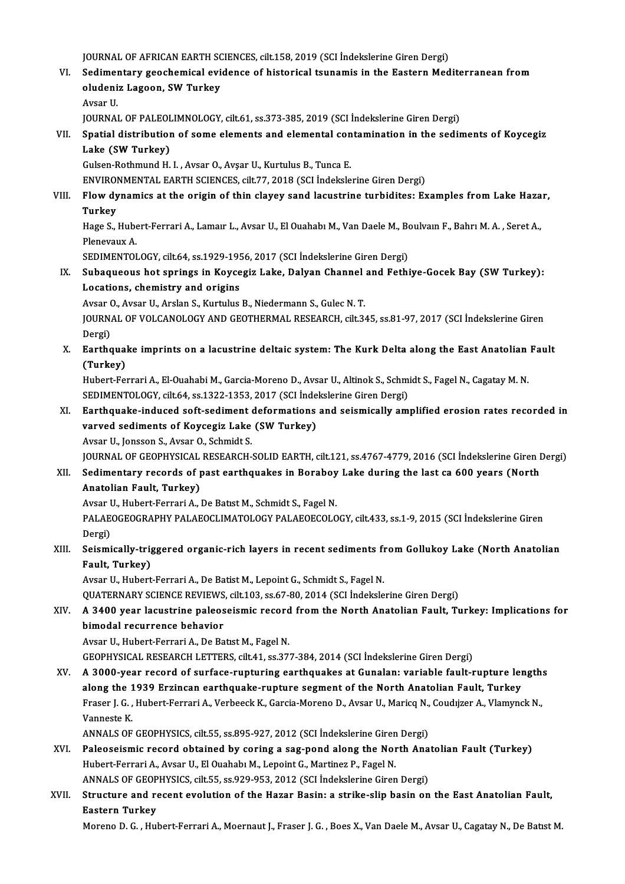JOURNAL OF AFRICAN EARTH SCIENCES, cilt.158, 2019 (SCI İndekslerine Giren Dergi)<br>Sedimentary geochemisel evidence of historisel teunemis in the Eastern Med

JOURNAL OF AFRICAN EARTH SCIENCES, cilt.158, 2019 (SCI İndekslerine Giren Dergi)<br>VI. Sedimentary geochemical evidence of historical tsunamis in the Eastern Mediterranean from JOURNAL OF AFRICAN EARTH SC<br>Sedimentary geochemical evi<br>oludeniz Lagoon, SW Turkey<br>Avear II Sedime<mark>r</mark><br>oludeni<br>Avsar U.<br>IOUPMAI oludeniz Lagoon, SW Turkey<br>Avsar U.<br>JOURNAL OF PALEOLIMNOLOGY, cilt.61, ss.373-385, 2019 (SCI İndekslerine Giren Dergi)<br>Spatial distribution of some alements and alemental sentemination in the sedi:

# Avsar U.<br>JOURNAL OF PALEOLIMNOLOGY, cilt.61, ss.373-385, 2019 (SCI İndekslerine Giren Dergi)<br>VII. Spatial distribution of some elements and elemental contamination in the sediments of Koycegiz<br>Lake (SW Turkey) JOURNAL OF PALEOL<br>Spatial distributior<br>Lake (SW Turkey)<br>Culsen Pethmund H Spatial distribution of some elements and elemental con<br>Lake (SW Turkey)<br>Gulsen-Rothmund H. I. , Avsar O., Avşar U., Kurtulus B., Tunca E.<br>ENVIRONMENTAL EARTH SCIENCES silt 77–2019 (SCL İndokale

Lake (SW Turkey)<br>Gulsen-Rothmund H. I. , Avsar O., Avşar U., Kurtulus B., Tunca E.<br>ENVIRONMENTAL EARTH SCIENCES, cilt.77, 2018 (SCI İndekslerine Giren Dergi)

# Gulsen-Rothmund H. I. , Avsar O., Avşar U., Kurtulus B., Tunca E.<br>ENVIRONMENTAL EARTH SCIENCES, cilt.77, 2018 (SCI İndekslerine Giren Dergi)<br>VIII. Plow dynamics at the origin of thin clayey sand lacustrine turbidites: Exam ENVIROI<br>Flow dy<br>Turkey<br>Hage S Flow dynamics at the origin of thin clayey sand lacustrine turbidites: Examples from Lake Haza<br>Turkey<br>Hage S., Hubert-Ferrari A., Lamaır L., Avsar U., El Ouahabı M., Van Daele M., Boulvaın F., Bahrı M. A. , Seret A.,<br>Plane

**Turkey**<br>Hage S., Hubert-Ferrari A., Lamaır L., Avsar U., El Ouahabı M., Van Daele M., Boulvaın F., Bahrı M. A. , Seret A.,<br>Plenevaux A. Hage S., Hubert-Ferrari A., Lamaır L., Avsar U., El Ouahabı M., Van Daele M., Bo<br>Plenevaux A.<br>SEDIMENTOLOGY, cilt.64, ss.1929-1956, 2017 (SCI İndekslerine Giren Dergi)<br>Subaqueous bet enrings in Kovsegiz Lake, Dalyan Channa

Plenevaux A.<br>SEDIMENTOLOGY, cilt.64, ss.1929-1956, 2017 (SCI İndekslerine Giren Dergi)<br>IX. Subaqueous hot springs in Koycegiz Lake, Dalyan Channel and Fethiye-Gocek Bay (SW Turkey):<br>I osations, shamistuy and origins SEDIMENTOLOGY, cilt.64, ss.1929-195<br>Subaqueous hot springs in Koyce<br>Locations, chemistry and origins<br>Ayear O. Ayear II, Arelan S. Kurtulus Subaqueous hot springs in Koycegiz Lake, Dalyan Channel<br>Locations, chemistry and origins<br>Avsar O., Avsar U., Arslan S., Kurtulus B., Niedermann S., Gulec N. T.<br>JOUPMAL OF VOLGANOLOCY AND CEOTHEPMAL PESEARCH sit 3.

Avsar O., Avsar U., Arslan S., Kurtulus B., Niedermann S., Gulec N. T.

Locations, chemistry and origins<br>Avsar O., Avsar U., Arslan S., Kurtulus B., Niedermann S., Gulec N. T.<br>JOURNAL OF VOLCANOLOGY AND GEOTHERMAL RESEARCH, cilt.345, ss.81-97, 2017 (SCI İndekslerine Giren<br>Dergi) JOURNAL OF VOLCANOLOGY AND GEOTHERMAL RESEARCH, cilt.345, ss.81-97, 2017 (SCI İndekslerine Giren<br>Dergi)<br>X. Earthquake imprints on a lacustrine deltaic system: The Kurk Delta along the East Anatolian Fault<br>(Turkey)

Dergi)<br><mark>Earthqua</mark>l<br>(Turkey)<br><sup>Hubort Fol</sup> Earthquake imprints on a lacustrine deltaic system: The Kurk Delta along the East Anatolian<br>(Turkey)<br>Hubert-Ferrari A., El-Ouahabi M., Garcia-Moreno D., Avsar U., Altinok S., Schmidt S., Fagel N., Cagatay M. N.<br>SEDIMENTOLO

(Turkey)<br>Hubert-Ferrari A., El-Ouahabi M., Garcia-Moreno D., Avsar U., Altinok S., Schm<br>SEDIMENTOLOGY, cilt.64, ss.1322-1353, 2017 (SCI İndekslerine Giren Dergi)<br>Farthauake indused soft sediment deformations and seismisell Hubert-Ferrari A., El-Ouahabi M., Garcia-Moreno D., Avsar U., Altinok S., Schmidt S., Fagel N., Cagatay M. N.<br>SEDIMENTOLOGY, cilt.64, ss.1322-1353, 2017 (SCI İndekslerine Giren Dergi)<br>XI. Earthquake-induced soft-sediment d

# SEDIMENTOLOGY, cilt.64, ss.1322-1353, 2017 (SCI İnde<br>Earthquake-induced soft-sediment deformations<br>varved sediments of Koycegiz Lake (SW Turkey)<br>Avear II Janssan S. Avear O. Schmidt S. Earthquake-induced soft-sediment<br>varved sediments of Koycegiz Lake<br>Avsar U., Jonsson S., Avsar O., Schmidt S.<br>JOUPMAL OE CEOPHYSICAL PESEARCH varved sediments of Koycegiz Lake (SW Turkey)<br>Avsar U., Jonsson S., Avsar O., Schmidt S.<br>JOURNAL OF GEOPHYSICAL RESEARCH-SOLID EARTH, cilt.121, ss.4767-4779, 2016 (SCI İndekslerine Giren Dergi)<br>Sedimentary reserds of nest

# Avsar U., Jonsson S., Avsar O., Schmidt S.<br>JOURNAL OF GEOPHYSICAL RESEARCH-SOLID EARTH, cilt.121, ss.4767-4779, 2016 (SCI İndekslerine Giren I<br>XII. Sedimentary records of past earthquakes in Boraboy Lake during the last ca Sedimentary records of past earthquakes in Boraboy Lake during the last ca 600 years (North Anatolian Fault, Turkey) Sedimentary records of past earthquakes in Boraboy<br>Anatolian Fault, Turkey)<br>Avsar U., Hubert-Ferrari A., De Batıst M., Schmidt S., Fagel N.<br>PALAEOGEOGRAPHY PALAEOGLIMATOLOGY PALAEOEGOLO

PALAEOGEOGRAPHY PALAEOCLIMATOLOGY PALAEOECOLOGY, cilt.433, ss.1-9, 2015 (SCI İndekslerine Giren<br>Dergi) Avsar I<br>PALAE<br>Dergi)<br>Seiemi PALAEOGEOGRAPHY PALAEOCLIMATOLOGY PALAEOECOLOGY, cilt.433, ss.1-9, 2015 (SCI İndekslerine Giren<br>Dergi)<br>XIII. Seismically-triggered organic-rich layers in recent sediments from Gollukoy Lake (North Anatolian<br>Fault Turkov)

# Dergi)<br>Seismically-trig<br>Fault, Turkey)<br>Avgar II, Hubert Seismically-triggered organic-rich layers in recent sediments fi<br>Fault, Turkey)<br>Avsar U., Hubert-Ferrari A., De Batist M., Lepoint G., Schmidt S., Fagel N.<br>QUATERNARY SCIENCE REVIEWS, sit 103, ss 67, 80, 2014 (SCL Indeksle

Fault, Turkey)<br>Avsar U., Hubert-Ferrari A., De Batist M., Lepoint G., Schmidt S., Fagel N.<br>QUATERNARY SCIENCE REVIEWS, cilt.103, ss.67-80, 2014 (SCI İndekslerine Giren Dergi)

# Avsar U., Hubert-Ferrari A., De Batist M., Lepoint G., Schmidt S., Fagel N.<br>QUATERNARY SCIENCE REVIEWS, cilt.103, ss.67-80, 2014 (SCI İndekslerine Giren Dergi)<br>XIV. A 3400 year lacustrine paleoseismic record from the N bimodal recurrence behavior<br>Avsar U., Hubert-Ferrari A., De Batist M., Fagel N. A 3400 year lacustrine paleoseismic record<br>bimodal recurrence behavior<br>Avsar U., Hubert-Ferrari A., De Batıst M., Fagel N.<br>CEOPHYSICAL RESEARCH LETTERS, silt 41, ss 37.

GEOPHYSICALRESEARCHLETTERS, cilt.41, ss.377-384,2014 (SCI İndekslerineGirenDergi)

Avsar U., Hubert-Ferrari A., De Batist M., Fagel N.<br>GEOPHYSICAL RESEARCH LETTERS, cilt.41, ss.377-384, 2014 (SCI İndekslerine Giren Dergi)<br>XV. A 3000-year record of surface-rupturing earthquakes at Gunalan: variable fa GEOPHYSICAL RESEARCH LETTERS, cilt.41, ss.377-384, 2014 (SCI İndekslerine Giren Dergi)<br>A 3000-year record of surface-rupturing earthquakes at Gunalan: variable fault-rupture lei<br>along the 1939 Erzincan earthquake-rupture s A 3000-year record of surface-rupturing earthquakes at Gunalan: variable fault-rupture length:<br>along the 1939 Erzincan earthquake-rupture segment of the North Anatolian Fault, Turkey<br>Fraser J. G. , Hubert-Ferrari A., Verbe along the 1<br>Fraser J. G.,<br>Vanneste K.<br>ANNAI S OF Fraser J. G. , Hubert-Ferrari A., Verbeeck K., Garcia-Moreno D., Avsar U., Maricq N.,<br>Vanneste K.<br>ANNALS OF GEOPHYSICS, cilt.55, ss.895-927, 2012 (SCI İndekslerine Giren Dergi)<br>Peleeseismis reserd obtained by sering e seg

### Vanneste K.<br>ANNALS OF GEOPHYSICS, cilt.55, ss.895-927, 2012 (SCI İndekslerine Giren Dergi)<br>XVI. Paleoseismic record obtained by coring a sag-pond along the North Anatolian Fault (Turkey) ANNALS OF GEOPHYSICS, cilt.55, ss.895-927, 2012 (SCI İndekslerine Giren Dergi)<br>Paleoseismic record obtained by coring a sag-pond along the North Ana<br>Hubert-Ferrari A., Avsar U., El Ouahabı M., Lepoint G., Martinez P., Fage Paleoseismic record obtained by coring a sag-pond along the North Ana<br>Hubert-Ferrari A., Avsar U., El Ouahabı M., Lepoint G., Martinez P., Fagel N.<br>ANNALS OF GEOPHYSICS, cilt.55, ss.929-953, 2012 (SCI İndekslerine Giren De ANNALS OF GEOPHYSICS, cilt.55, ss.929-953, 2012 (SCI İndekslerine Giren Dergi)

# XVII. Structure and recent evolution of the Hazar Basin: a strike-slip basin on the East Anatolian Fault,<br>Eastern Turkey

Moreno D.G., Hubert-Ferrari A., Moernaut J., Fraser J.G., Boes X., Van Daele M., Avsar U., Cagatay N., De Batıst M.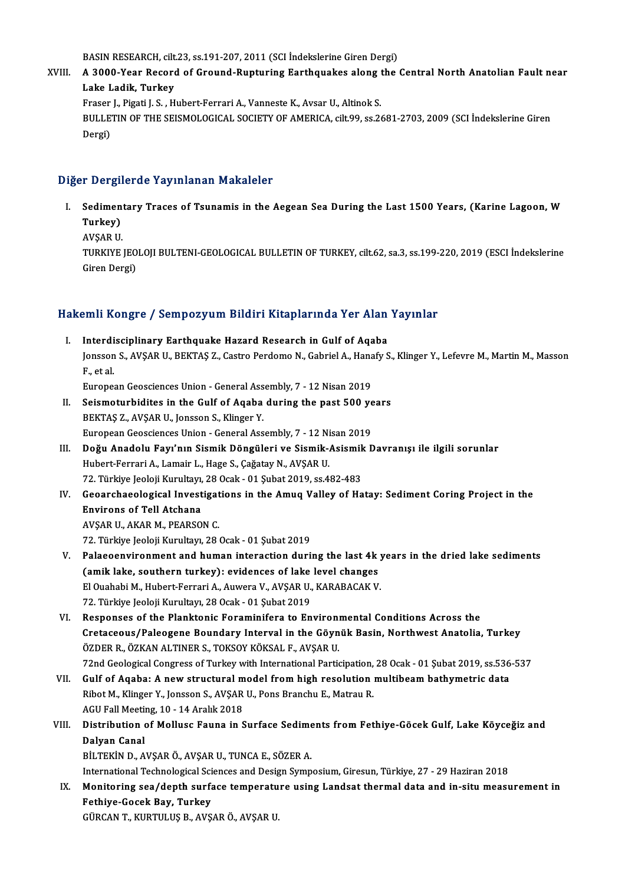BASIN RESEARCH, cilt.23, ss.191-207, 2011 (SCI İndekslerine Giren Dergi)<br>A 2000 Yaar Basard of Cround Bunturing Farthquekse alang tha

BASIN RESEARCH, cilt.23, ss.191-207, 2011 (SCI İndekslerine Giren Dergi)<br>XVIII. A 3000-Year Record of Ground-Rupturing Earthquakes along the Central North Anatolian Fault near BASIN RESEARCH, cilt<br>A 3000-Year Record<br>Lake Ladik, Turkey<br>Enason L Bisati L.S., H A 3000-Year Record of Ground-Rupturing Earthquakes along t<br>Lake Ladik, Turkey<br>Fraser J., Pigati J. S. , Hubert-Ferrari A., Vanneste K., Avsar U., Altinok S.<br>PULLETIN OF THE SEISMOLOGICAL SOCIETY OF AMERICA sitt 99, ss 3 Fraser J., Pigati J. S., Hubert-Ferrari A., Vanneste K., Avsar U., Altinok S.

Lake Ladik, Turkey<br>Fraser J., Pigati J. S. , Hubert-Ferrari A., Vanneste K., Avsar U., Altinok S.<br>BULLETIN OF THE SEISMOLOGICAL SOCIETY OF AMERICA, cilt.99, ss.2681-2703, 2009 (SCI İndekslerine Giren<br>Dergi)

### Diğer Dergilerde Yayınlanan Makaleler

- Iğer Dergilerde Yayınlanan Makaleler<br>I. Sedimentary Traces of Tsunamis in the Aegean Sea During the Last 1500 Years, (Karine Lagoon, W<br>Turkey) Sedimen<br>Turkey)<br>AVSAR U Sediment<br>Turkey)<br>AVŞAR U.<br>TURKIYE
	-

Turkey)<br>AVŞAR U.<br>TURKIYE JEOLOJI BULTENI-GEOLOGICAL BULLETIN OF TURKEY, cilt.62, sa.3, ss.199-220, 2019 (ESCI İndekslerine) AVŞAR U.<br>TURKIYE JEO<br>Giren Dergi)

# uren bergi)<br>Hakemli Kongre / Sempozyum Bildiri Kitaplarında Yer Alan Yayınlar

- akemli Kongre / Sempozyum Bildiri Kitaplarında Yer Alan<br>I. Interdisciplinary Earthquake Hazard Research in Gulf of Aqaba<br>Ionsson S. AVSAR II. REKTAS Z. Cestre Berdeme N. Cehriel A. Hanafy S. Janis Rongro / Somponyum Shun'i magparimuu Tor Mun'i dymia.<br>Interdisciplinary Earthquake Hazard Research in Gulf of Aqaba<br>Jonsson S., AVŞAR U., BEKTAŞ Z., Castro Perdomo N., Gabriel A., Hanafy S., Klinger Y., Lefevre M., M I<mark>nterdi</mark><br>Jonsson<br>F., et al.<br>Europes Jonsson S., AVŞAR U., BEKTAŞ Z., Castro Perdomo N., Gabriel A., Hana<br>F., et al.<br>European Geosciences Union - General Assembly, 7 - 12 Nisan 2019<br>Seismoturhiditos in the Gulf of Asaba during the nast 500 vs F., et al.<br>European Geosciences Union - General Assembly, 7 - 12 Nisan 2019<br>II. Seismoturbidites in the Gulf of Aqaba during the past 500 years<br>PEKTAS 7 AVSAB II JORSON S. Klinger V.
- European Geosciences Union General Assembly, 7 12 Nisan 2019<br>Seismoturbidites in the Gulf of Aqaba during the past 500 y.<br>BEKTAŞ Z., AVŞAR U., Jonsson S., Klinger Y.<br>European Geosciences Union General Assembly, 7 1 Seismoturbidites in the Gulf of Aqaba during the past 500 ye<br>BEKTAŞ Z., AVŞAR U., Jonsson S., Klinger Y.<br>European Geosciences Union - General Assembly, 7 - 12 Nisan 2019<br>Değu Anadalu Fauy'nın Sismik Döngüleri ve Sismik Asi
- BEKTAŞ Z., AVŞAR U., Jonsson S., Klinger Y.<br>European Geosciences Union General Assembly, 7 12 Nisan 2019<br>III. Doğu Anadolu Fayı'nın Sismik Döngüleri ve Sismik-Asismik Davranışı ile ilgili sorunlar<br>Hubert Ferreri A. Lam European Geosciences Union - General Assembly, 7 - 12 Ni<br>Doğu Anadolu Fayı'nın Sismik Döngüleri ve Sismik-,<br>Hubert-Ferrari A., Lamair L., Hage S., Çağatay N., AVŞAR U.<br>72 Türkiye Jeoleji Kurultayı 28 Osek - 01 Subet 2019 s Doğu Anadolu Fayı'nın Sismik Döngüleri ve Sismik-Asismik<br>Hubert-Ferrari A., Lamair L., Hage S., Çağatay N., AVŞAR U.<br>72. Türkiye Jeoloji Kurultayı, 28 Ocak - 01 Şubat 2019, ss.482-483<br>Ceoarshaeologiaal Investigations in th Hubert-Ferrari A., Lamair L., Hage S., Çağatay N., AVŞAR U.<br>72. Türkiye Jeoloji Kurultayı, 28 Ocak - 01 Şubat 2019, ss.482-483<br>IV. Geoarchaeological Investigations in the Amuq Valley of Hatay: Sediment Coring Project i
- 72. Türkiye Jeoloji Kurultayı,<br>Geoarchaeological Invest<br>Environs of Tell Atchana<br>AVSAR IL AKAR M. REARSO. Geoarchaeological Investigat<br>Environs of Tell Atchana<br>AVŞAR U., AKAR M., PEARSON C.<br>72. Türkiye leekii Kurultan 28. 5 **Environs of Tell Atchana**<br>1958 - AVŞAR U., AKAR M., PEARSON C.<br>72. Türkiye Jeoloji Kurultayı, 28 Ocak - 01 Şubat 2019

- AVŞAR U., AKAR M., PEARSON C.<br>72. Türkiye Jeoloji Kurultayı, 28 Ocak 01 Şubat 2019<br>V. Palaeoenvironment and human interaction during the last 4k years in the dried lake sediments<br>Camik lake seuthern turkey); evidences of 72. Türkiye Jeoloji Kurultayı, 28 Ocak - 01 Şubat 2019<br>Palaeoenvironment and human interaction during the last 4k<br>(amik lake, southern turkey): evidences of lake level changes<br>El Quababi M. Hubert Ferreri A. Auwere V. AVSA Palaeoenvironment and human interaction during the last 4k y<br>(amik lake, southern turkey): evidences of lake level changes<br>El Quahabi M., Hubert-Ferrari A., Auwera V., AVŞAR U., KARABACAK V.<br>72. Türkiye leoloji Kurultay, 2 (amik lake, southern turkey): evidences of lake level changes<br>El Ouahabi M., Hubert-Ferrari A., Auwera V., AVŞAR U., KARABACAK V.<br>72. Türkiye Jeoloji Kurultayı, 28 Ocak - 01 Şubat 2019
- VI. Responses of the Planktonic Foraminifera to Environmental Conditions Across the Cretaceous/Paleogene Boundary Interval in the Göynük Basin, Northwest Anatolia, Turkey ÖZDER R., ÖZKAN ALTINER S., TOKSOY KÖKSAL F., AVŞAR U. Cretaceous/Paleogene Boundary Interval in the Göynük Basin, Northwest Anatolia, Turkey<br>ÖZDER R., ÖZKAN ALTINER S., TOKSOY KÖKSAL F., AVŞAR U.<br>72nd Geological Congress of Turkey with International Participation, 28 Ocak - 0
- ÖZDER R., ÖZKAN ALTINER S., TOKSOY KÖKSAL F., AVŞAR U.<br>72nd Geological Congress of Turkey with International Participation, 28 Ocak 01 Şubat 2019, ss.536<br>VII. Gulf of Aqaba: A new structural model from high resolution mu 72nd Geological Congress of Turkey with International Participation,<br>Gulf of Aqaba: A new structural model from high resolution<br>Ribot M., Klinger Y., Jonsson S., AVŞAR U., Pons Branchu E., Matrau R.<br>ACU Fell Meeting 10, 14 VII. Gulf of Aqaba: A new structural model from high resolution multibeam bathymetric data<br>Ribot M., Klinger Y., Jonsson S., AVŞAR U., Pons Branchu E., Matrau R.<br>AGU Fall Meeting, 10 - 14 Aralık 2018 Ribot M., Klinger Y., Jonsson S., AVŞAR U., Pons Branchu E., Matrau R.<br>AGU Fall Meeting, 10 - 14 Aralık 2018<br>VIII. Distribution of Mollusc Fauna in Surface Sediments from Fethiye-Göcek Gulf, Lake Köyceğiz and<br>Dalvan Ca
- AGU Fall Meeti<mark><br>Distribution (</mark><br>Dalyan Canal<br>P<sup>it TEVIN D. 4</sub></sup> Distribution of Mollusc Fauna in Surface Sedime<br>Dalyan Canal<br>BİLTEKİN D., AVŞAR Ö., AVŞAR U., TUNCA E., SÖZER A.<br>International Technological Sciences and Design Sumn Dalyan Canal<br>BİLTEKİN D., AVŞAR Ö., AVŞAR U., TUNCA E., SÖZER A.<br>International Technological Sciences and Design Symposium, Giresun, Türkiye, 27 - 29 Haziran 2018

BİLTEKİN D., AVŞAR Ö., AVŞAR U., TUNCA E., SÖZER A.<br>International Technological Sciences and Design Symposium, Giresun, Türkiye, 27 - 29 Haziran 2018<br>IX. Monitoring sea/depth surface temperature using Landsat thermal data International Technological Sci<br>Monitoring sea/depth surfa<br>Fethiye-Gocek Bay, Turkey<br>CÜBCAN T-KUPTULUS P-AVS Monitoring sea/depth surface temperatu<br>Fethiye-Gocek Bay, Turkey<br>GÜRCAN T., KURTULUŞ B., AVŞAR Ö., AVŞAR U.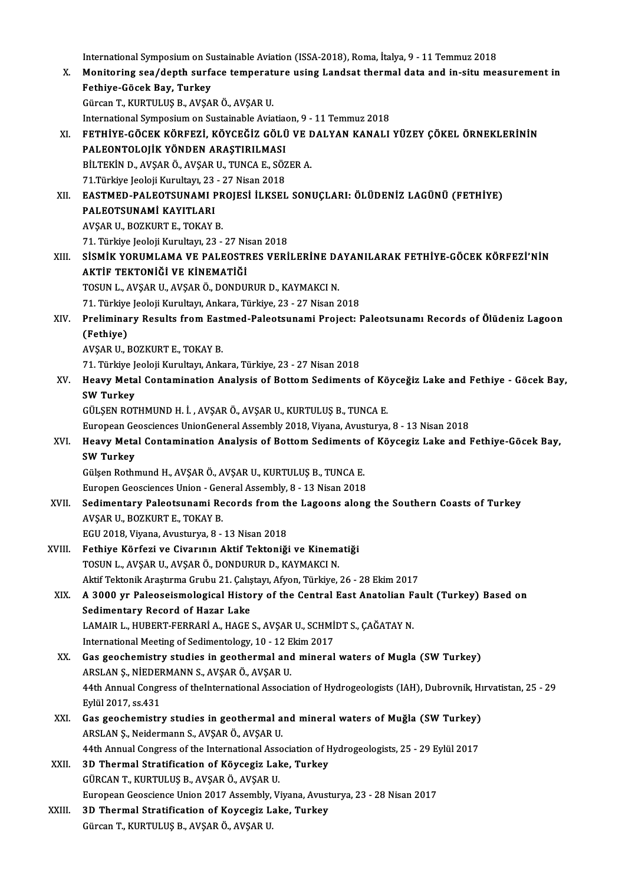International Symposium on Sustainable Aviation (ISSA-2018), Roma, İtalya, 9 - 11 Temmuz 2018<br>Monitering see (danth surface temperature using Landeat thermal data and in situ mes

- X. Monitoring sea/depth surface temperature using Landsat thermal data and in-situmeasurement in International Symposium on Su<br>Monitoring sea/depth surfa<br>Fethiye-Göcek Bay, Turkey<br>Günsan T. KUPTULUS B. AVSA GürcanT.,KURTULUŞB.,AVŞARÖ.,AVŞARU. International Symposium on Sustainable Aviatiaon, 9 - 11 Temmuz 2018 Gürcan T., KURTULUŞ B., AVŞAR Ö., AVŞAR U.<br>International Symposium on Sustainable Aviatiaon, 9 - 11 Temmuz 2018<br>XI. FETHİYE-GÖCEK KÖRFEZİ, KÖYCEĞİZ GÖLÜ VE DALYAN KANALI YÜZEY ÇÖKEL ÖRNEKLERİNİN<br>RALFONTOLOLIK YÖNDEN ARASTI International Symposium on Sustainable Aviatia<br>FETHİYE-GÖCEK KÖRFEZİ, KÖYCEĞİZ GÖLÜ<br>PALEONTOLOJİK YÖNDEN ARAŞTIRILMASI<br>PİLTEKİN D. AVSAR Ö. AVSAR U. TUNGA E. SÖZ FETHİYE-GÖCEK KÖRFEZİ, KÖYCEĞİZ GÖLÜ VE I<br>PALEONTOLOJİK YÖNDEN ARAŞTIRILMASI<br>BİLTEKİN D., AVŞAR Ö., AVŞAR U., TUNCA E., SÖZER A.<br>71 Türkiye looloji Kurultayı 22 - 27 Nison 2019 PALEONTOLOJİK YÖNDEN ARAŞTIRILMASI<br>BİLTEKİN D., AVŞAR Ö., AVŞAR U., TUNCA E., SÖZER A.<br>71.Türkiye Jeoloji Kurultayı, 23 - 27 Nisan 2018 XI . EASTMED-PALEOTSUNAMI PROJESİ İLKSEL SONUÇLARI: ÖLÜDENİZ LAGÜNÜ (FETHİYE)
- 71.Türkiye Jeoloji Kurultayı, 23<br>EASTMED-PALEOTSUNAMI F<br>PALEOTSUNAMİ KAYITLARI<br>AVSAR IL ROZKURT E. TOKAY I EASTMED-PALEOTSUNAMI PR<br>PALEOTSUNAMI KAYITLARI<br>AVŞAR U., BOZKURT E., TOKAY B.<br>71. Türkiye leeleji Kurultarı 22 9 PALEOTSUNAMİ KAYITLARI<br>1953. AVŞAR U., BOZKURT E., TOKAY B.<br>71. Türkiye Jeoloji Kurultayı, 23 - 27 Nisan 2018 AVŞAR U., BOZKURT E., TOKAY B.<br>71. Türkiye Jeoloji Kurultayı, 23 - 27 Nisan 2018<br>XIII. — SİSMİK YORUMLAMA VE PALEOSTRES VERİLERİNE DAYANILARAK FETHİYE-GÖCEK KÖRFEZİ'NİN<br>AKTİF TEKTONIĞI VE KİNEMATİĞI
- 71. Türkiye Jeoloji Kurultayı, 23 27 Ni:<br>SİSMİK YORUMLAMA VE PALEOSTI<br>AKTİF TEKTONİĞİ VE KİNEMATİĞİ<br>TOSUN LAVSAR ULAVSAR Ö DONDU AKTİF TEKTONİĞİ VE KİNEMATİĞİ<br>TOSUN L., AVŞAR U., AVŞAR Ö., DONDURUR D., KAYMAKCI N. 71.Türkiye JeolojiKurultayı,Ankara,Türkiye,23 -27Nisan2018 TOSUN L., AVŞAR U., AVŞAR Ö., DONDURUR D., KAYMAKCI N.<br>71. Türkiye Jeoloji Kurultayı, Ankara, Türkiye, 23 - 27 Nisan 2018<br>XIV. Preliminary Results from Eastmed-Paleotsunami Project: Paleotsunamı Records of Ölüdeniz Lag
- 71. Türkiye<br>Prelimina<br>(Fethiye)<br>AVSAR H Preliminary Results from Eas<br>(Fethiye)<br>AVŞAR U., BOZKURT E., TOKAY B.<br>71. Türkiye leeleji Kurultan, Ark (Fethiye)<br>AVŞAR U., BOZKURT E., TOKAY B.<br>71. Türkiye Jeoloji Kurultayı, Ankara, Türkiye, 23 - 27 Nisan 2018<br>Heauy Metal Contamination Analysis of Bottam Sodimants

AVŞAR U., BOZKURT E., TOKAY B.<br>71. Türkiye Jeoloji Kurultayı, Ankara, Türkiye, 23 - 27 Nisan 2018<br>XV. Heavy Metal Contamination Analysis of Bottom Sediments of Köyceğiz Lake and Fethiye - Göcek Bay,<br>SW Turkey 71. Türkiye J<br>Heavy Meta<br>SW Turkey<br>CÜLSEN POT

GÜLŞEN ROTHMUND H. İ., AVŞAR Ö., AVŞAR U., KURTULUŞ B., TUNCA E.

EuropeanGeosciencesUnionGeneralAssembly2018,Viyana,Avusturya,8 -13Nisan2018

GÜLŞEN ROTHMUND H. İ. , AVŞAR Ö., AVŞAR U., KURTULUŞ B., TUNCA E.<br>European Geosciences UnionGeneral Assembly 2018, Viyana, Avusturya, 8 - 13 Nisan 2018<br>XVI. Heavy Metal Contamination Analysis of Bottom Sediments of Köy European Ge<br><mark>Heavy Meta</mark><br>SW Turkey<br>G<sup>üleon Bothr</sup> Heavy Metal Contamination Analysis of Bottom Sediments<br>SW Turkey<br>Gülşen Rothmund H., AVŞAR Ö., AVŞAR U., KURTULUŞ B., TUNCA E.<br>Europen Coossionses Union, Coneral Assembly, 8, . 13 Nisan 2019 SW Turkey<br>Gülşen Rothmund H., AVŞAR Ö., AVŞAR U., KURTULUŞ B., TUNCA E.<br>Europen Geosciences Union - General Assembly, 8 - 13 Nisan 2018<br>Sedimentary Belestsunami Besards fram the Lazaens alane

Gülşen Rothmund H., AVŞAR Ö., AVŞAR U., KURTULUŞ B., TUNCA E.<br>Europen Geosciences Union - General Assembly, 8 - 13 Nisan 2018<br>XVII. Sedimentary Paleotsunami Records from the Lagoons along the Southern Coasts of Turkey<br>AVSA Europen Geosciences Union - Ger<br>Sedimentary Paleotsunami Re<br>AVŞAR U., BOZKURT E., TOKAY B.<br>ECU 2019 Viyana Ayyatıyya 8 AVŞAR U., BOZKURT E., TOKAY B.<br>EGU 2018, Viyana, Avusturya, 8 - 13 Nisan 2018<br>XVIII. Fethiye Körfezi ve Civarının Aktif Tektoniği ve Kinematiği<br>TOSUN LAVSAR U. AVSAR Ö. DONDURUR D. KAYMAKCI N

EGU2018,Viyana,Avusturya,8 -13Nisan2018

- EGU 2018, Viyana, Avusturya, 8 13 Nisan 2018<br>Fethiye Körfezi ve Civarının Aktif Tektoniği ve Kinema<br>TOSUN L., AVŞAR U., AVŞAR Ö., DONDURUR D., KAYMAKCI N.<br>Aktif Tektonik Arestuma Cuubu 21 Cekstava Afron Türkiye Fethiye Körfezi ve Civarının Aktif Tektoniği ve Kinematiği<br>TOSUN L., AVŞAR U., AVŞAR Ö., DONDURUR D., KAYMAKCI N.<br>Aktif Tektonik Araştırma Grubu 21. Çalıştayı, Afyon, Türkiye, 26 - 28 Ekim 2017<br>A 3000 ur Palasasismalasisal TOSUN L., AVŞAR U., AVŞAR Ö., DONDURUR D., KAYMAKCI N.<br>Aktif Tektonik Araştırma Grubu 21. Çalıştayı, Afyon, Türkiye, 26 - 28 Ekim 2017<br>XIX. A 3000 yr Paleoseismological History of the Central East Anatolian Fault (Turk
- Aktif Tektonik Araştırma Grubu 21. Çalış<br>A 3000 yr Paleoseismological Histo<br>Sedimentary Record of Hazar Lake<br>LAMAIP L. HUPEPT EEPPAPLA HACE: A 3000 yr Paleoseismological History of the Central East Anatolian F<br>Sedimentary Record of Hazar Lake<br>LAMAIR L., HUBERT-FERRARİ A., HAGE S., AVŞAR U., SCHMİDT S., ÇAĞATAY N.<br>International Meeting of Sedimentalegy 10, 12 Ek Sedimentary Record of Hazar Lake<br>LAMAIR L., HUBERT-FERRARİ A., HAGE S., AVŞAR U., SCHMİ<br>International Meeting of Sedimentology, 10 - 12 Ekim 2017<br>Cas geospomistry studies in geotpermal and mineral
- International Meeting of Sedimentology, 10 12 Ekim 2017<br>XX. Gas geochemistry studies in geothermal and mineral waters of Mugla (SW Turkey) International Meeting of Sedimentology, 10 - 12 E<br>Gas geochemistry studies in geothermal and<br>ARSLAN Ş., NİEDERMANN S., AVŞAR Ö., AVŞAR U.<br>44th Annual Cangress of the International Associa 6as geochemistry studies in geothermal and mineral waters of Mugla (SW Turkey)<br>ARSLAN Ş., NİEDERMANN S., AVŞAR Ö., AVŞAR U.<br>44th Annual Congress of theInternational Association of Hydrogeologists (IAH), Dubrovnik, Hırvatis ARSLAN Ş., NİEDEF<br>44th Annual Congr<br>Eylül 2017, ss.431<br>Cas gaashamistr 44th Annual Congress of theInternational Association of Hydrogeologists (IAH), Dubrovnik, Hi<br>Eylül 2017, ss.431<br>XXI. Gas geochemistry studies in geothermal and mineral waters of Muğla (SW Turkey)
- Eylül 2017, ss.431<br>Gas geochemistry studies in geothermal a<br>ARSLAN Ş., Neidermann S., AVŞAR Ö., AVŞAR U.<br>44th Annual Congress of the International Asso Gas geochemistry studies in geothermal and mineral waters of Muğla (SW Turkey)<br>ARSLAN Ş., Neidermann S., AVŞAR Ö., AVŞAR U.<br>44th Annual Congress of the International Association of Hydrogeologists, 25 - 29 Eylül 2017<br>2D. T ARSLAN Ş., Neidermann S., AVŞAR Ö., AVŞAR U.<br>44th Annual Congress of the International Association of F.<br>XXII. 3D Thermal Stratification of Köycegiz Lake, Turkey<br>CÜRCAN T. KURTU US P. AVSAR Ö. AVSAR U.
- 44th Annual Congress of the International Associal D<br>3D Thermal Stratification of Köycegiz Lak<br>GÜRCAN T., KURTULUŞ B., AVŞAR Ö., AVŞAR U. GÜRCAN T., KURTULUŞ B., AVŞAR Ö., AVŞAR U.<br>European Geoscience Union 2017 Assembly, Viyana, Avusturya, 23 - 28 Nisan 2017 GÜRCAN T., KURTULUŞ B., AVŞAR Ö., AVŞAR U.<br>European Geoscience Union 2017 Assembly, Viyana, Avust<br>XXIII. 3D Thermal Stratification of Koycegiz Lake, Turkey
- European Geoscience Union 2017 Assembly,<br><mark>3D Thermal Stratification of Koycegiz L</mark>.<br>Gürcan T., KURTULUŞ B., AVŞAR Ö., AVŞAR U.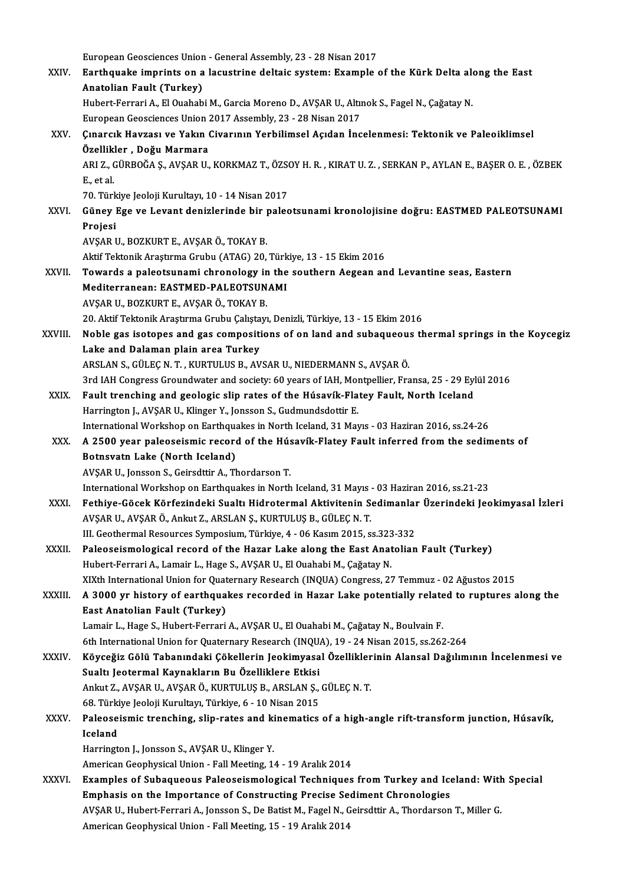European Geosciences Union - General Assembly, 23 - 28 Nisan 2017<br>Ferthaughs imprints op a locustring deltais system: Evample

|              | European Geosciences Union - General Assembly, 23 - 28 Nisan 2017                                                        |
|--------------|--------------------------------------------------------------------------------------------------------------------------|
| XXIV.        | Earthquake imprints on a lacustrine deltaic system: Example of the Kürk Delta along the East<br>Anatolian Fault (Turkey) |
|              | Hubert-Ferrari A., El Ouahabi M., Garcia Moreno D., AVŞAR U., Altınok S., Fagel N., Çağatay N.                           |
|              | European Geosciences Union 2017 Assembly, 23 - 28 Nisan 2017                                                             |
| XXV.         | Çınarcık Havzası ve Yakın Civarının Yerbilimsel Açıdan İncelenmesi: Tektonik ve Paleoiklimsel                            |
|              | Özellikler, Doğu Marmara                                                                                                 |
|              | ARI Z., GÜRBOĞA Ş., AVŞAR U., KORKMAZ T., ÖZSOY H. R., KIRAT U. Z., SERKAN P., AYLAN E., BAŞER O. E., ÖZBEK              |
|              | E, et al.                                                                                                                |
|              | 70 Türkiye Jeoloji Kurultayı, 10 - 14 Nisan 2017                                                                         |
| XXVI.        | Güney Ege ve Levant denizlerinde bir paleotsunami kronolojisine doğru: EASTMED PALEOTSUNAMI                              |
|              | Projesi                                                                                                                  |
|              | AVŞAR U., BOZKURT E., AVŞAR Ö., TOKAY B.                                                                                 |
|              | Aktif Tektonik Araştırma Grubu (ATAG) 20, Türkiye, 13 - 15 Ekim 2016                                                     |
| XXVII.       | Towards a paleotsunami chronology in the southern Aegean and Levantine seas, Eastern                                     |
|              | Mediterranean: EASTMED-PALEOTSUNAMI                                                                                      |
|              | AVŞAR U., BOZKURT E., AVŞAR Ö., TOKAY B.                                                                                 |
|              | 20. Aktif Tektonik Araştırma Grubu Çalıştayı, Denizli, Türkiye, 13 - 15 Ekim 2016                                        |
| XXVIII.      | Noble gas isotopes and gas compositions of on land and subaqueous thermal springs in the Koycegiz                        |
|              | Lake and Dalaman plain area Turkey                                                                                       |
|              | ARSLAN S., GÜLEÇ N. T., KURTULUS B., AVSAR U., NIEDERMANN S., AVŞAR Ö.                                                   |
|              | 3rd IAH Congress Groundwater and society: 60 years of IAH, Montpellier, Fransa, 25 - 29 Eylül 2016                       |
| XXIX.        | Fault trenching and geologic slip rates of the Húsavík-Flatey Fault, North Iceland                                       |
|              | Harrington J., AVŞAR U., Klinger Y., Jonsson S., Gudmundsdottir E.                                                       |
|              | International Workshop on Earthquakes in North Iceland, 31 Mayıs - 03 Haziran 2016, ss.24-26                             |
| XXX.         | A 2500 year paleoseismic record of the Húsavík-Flatey Fault inferred from the sediments of                               |
|              | Botnsvatn Lake (North Iceland)                                                                                           |
|              | AVŞAR U., Jonsson S., Geirsdttir A., Thordarson T.                                                                       |
|              | International Workshop on Earthquakes in North Iceland, 31 Mayıs - 03 Haziran 2016, ss.21-23                             |
| XXXI.        | Fethiye-Göcek Körfezindeki Sualtı Hidrotermal Aktivitenin Sedimanlar Üzerindeki Jeokimyasal İzleri                       |
|              | AVŞAR U., AVŞAR Ö., Ankut Z., ARSLAN Ş., KURTULUŞ B., GÜLEÇ N. T.                                                        |
|              | III. Geothermal Resources Symposium, Türkiye, 4 - 06 Kasım 2015, ss.323-332                                              |
| XXXII.       | Paleoseismological record of the Hazar Lake along the East Anatolian Fault (Turkey)                                      |
|              | Hubert-Ferrari A., Lamair L., Hage S., AVŞAR U., El Ouahabi M., Çağatay N.                                               |
|              | XIXth International Union for Quaternary Research (INQUA) Congress, 27 Temmuz - 02 Ağustos 2015                          |
| XXXIII.      | A 3000 yr history of earthquakes recorded in Hazar Lake potentially related to ruptures along the                        |
|              | East Anatolian Fault (Turkey)                                                                                            |
|              | Lamair L., Hage S., Hubert-Ferrari A., AVŞAR U., El Ouahabi M., Çağatay N., Boulvain F.                                  |
|              | 6th International Union for Quaternary Research (INQUA), 19 - 24 Nisan 2015, ss.262-264                                  |
| <b>XXXIV</b> | Köyceğiz Gölü Tabanındaki Çökellerin Jeokimyasal Özelliklerinin Alansal Dağılımının İncelenmesi ve                       |
|              | Sualtı Jeotermal Kaynakların Bu Özelliklere Etkisi                                                                       |
|              | Ankut Z., AVŞAR U., AVŞAR Ö., KURTULUŞ B., ARSLAN Ş., GÜLEÇ N. T.                                                        |
|              | 68. Türkiye Jeoloji Kurultayı, Türkiye, 6 - 10 Nisan 2015                                                                |
| XXXV.        | Paleoseismic trenching, slip-rates and kinematics of a high-angle rift-transform junction, Húsavík,<br>Iceland           |
|              | Harrington J., Jonsson S., AVŞAR U., Klinger Y.                                                                          |
|              | American Geophysical Union - Fall Meeting, 14 - 19 Aralık 2014                                                           |
| XXXVI.       | Examples of Subaqueous Paleoseismological Techniques from Turkey and Iceland: With Special                               |
|              | Emphasis on the Importance of Constructing Precise Sediment Chronologies                                                 |
|              | AVŞAR U., Hubert-Ferrari A., Jonsson S., De Batist M., Fagel N., Geirsdttir A., Thordarson T., Miller G.                 |
|              | American Geophysical Union - Fall Meeting, 15 - 19 Aralık 2014                                                           |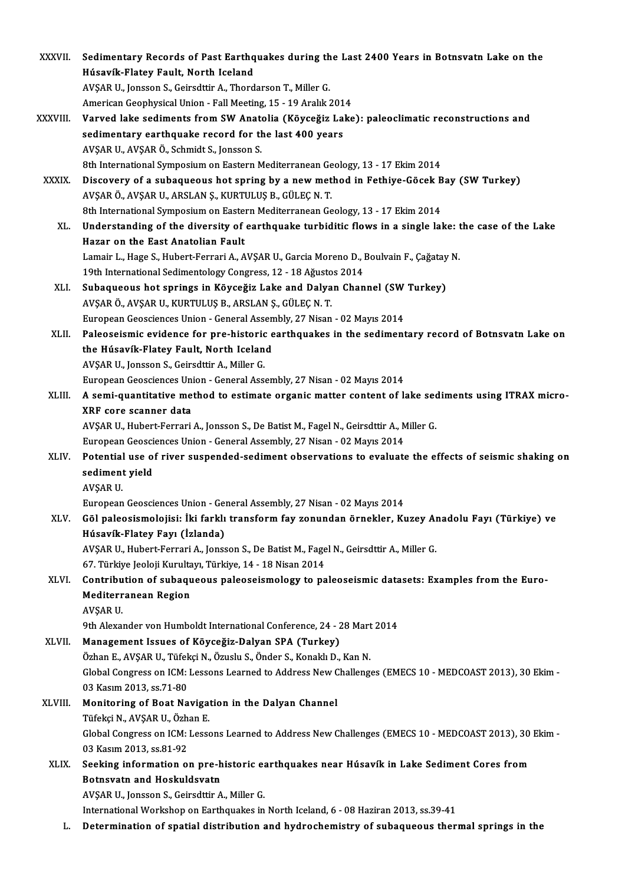| XXXVII.      | Sedimentary Records of Past Earthquakes during the Last 2400 Years in Botnsvatn Lake on the             |
|--------------|---------------------------------------------------------------------------------------------------------|
|              | Húsavík-Flatey Fault, North Iceland                                                                     |
|              | AVŞAR U., Jonsson S., Geirsdttir A., Thordarson T., Miller G.                                           |
|              | American Geophysical Union - Fall Meeting, 15 - 19 Aralık 2014                                          |
| XXXVIII.     | Varved lake sediments from SW Anatolia (Köyceğiz Lake): paleoclimatic reconstructions and               |
|              | sedimentary earthquake record for the last 400 years                                                    |
|              | AVŞAR U., AVŞAR Ö., Schmidt S., Jonsson S.                                                              |
|              | 8th International Symposium on Eastern Mediterranean Geology, 13 - 17 Ekim 2014                         |
| <b>XXXIX</b> | Discovery of a subaqueous hot spring by a new method in Fethiye-Göcek Bay (SW Turkey)                   |
|              | AVŞAR Ö., AVŞAR U., ARSLAN Ş., KURTULUŞ B., GÜLEÇ N. T.                                                 |
|              | 8th International Symposium on Eastern Mediterranean Geology, 13 - 17 Ekim 2014                         |
| XL.          | Understanding of the diversity of earthquake turbiditic flows in a single lake: the case of the Lake    |
|              | Hazar on the East Anatolian Fault                                                                       |
|              | Lamair L., Hage S., Hubert-Ferrari A., AVŞAR U., Garcia Moreno D., Boulvain F., Çağatay N.              |
|              | 19th International Sedimentology Congress, 12 - 18 Ağustos 2014                                         |
| XLI.         | Subaqueous hot springs in Köyceğiz Lake and Dalyan Channel (SW Turkey)                                  |
|              | AVŞAR Ö., AVŞAR U., KURTULUŞ B., ARSLAN Ş., GÜLEÇ N. T.                                                 |
|              | European Geosciences Union - General Assembly, 27 Nisan - 02 Mayıs 2014                                 |
| XLII.        | Paleoseismic evidence for pre-historic earthquakes in the sedimentary record of Botnsvatn Lake on       |
|              | the Húsavík-Flatey Fault, North Iceland                                                                 |
|              | AVŞAR U., Jonsson S., Geirsdttir A., Miller G.                                                          |
|              | European Geosciences Union - General Assembly, 27 Nisan - 02 Mayıs 2014                                 |
| XLIII.       | A semi-quantitative method to estimate organic matter content of lake sediments using ITRAX micro-      |
|              | XRF core scanner data                                                                                   |
|              | AVŞAR U., Hubert-Ferrari A., Jonsson S., De Batist M., Fagel N., Geirsdttir A., Miller G.               |
|              | European Geosciences Union - General Assembly, 27 Nisan - 02 Mayıs 2014                                 |
| XLIV.        | Potential use of river suspended-sediment observations to evaluate the effects of seismic shaking on    |
|              | sediment yield                                                                                          |
|              | AVSAR U.                                                                                                |
|              | European Geosciences Union - General Assembly, 27 Nisan - 02 Mayıs 2014                                 |
| XLV.         | Göl paleosismolojisi: İki farklı transform fay zonundan örnekler, Kuzey Anadolu Fayı (Türkiye) ve       |
|              | Húsavík-Flatey Fayı (İzlanda)                                                                           |
|              | AVŞAR U., Hubert-Ferrari A., Jonsson S., De Batist M., Fagel N., Geirsdttir A., Miller G.               |
|              | 67. Türkiye Jeoloji Kurultayı, Türkiye, 14 - 18 Nisan 2014                                              |
| XLVI.        | Contribution of subaqueous paleoseismology to paleoseismic datasets: Examples from the Euro-            |
|              | <b>Mediterranean Region</b>                                                                             |
|              | AVŞAR U.                                                                                                |
|              | 9th Alexander von Humboldt International Conference, 24 - 28 Mart 2014                                  |
| XLVII.       | Management Issues of Köyceğiz-Dalyan SPA (Turkey)                                                       |
|              | Özhan E., AVŞAR U., Tüfekçi N., Özuslu S., Önder S., Konaklı D., Kan N.                                 |
|              | Global Congress on ICM: Lessons Learned to Address New Challenges (EMECS 10 - MEDCOAST 2013), 30 Ekim - |
|              | 03 Kasım 2013, ss 71-80                                                                                 |
| XLVIII.      | Monitoring of Boat Navigation in the Dalyan Channel                                                     |
|              | Tüfekçi N., AVŞAR U., Özhan E.                                                                          |
|              | Global Congress on ICM: Lessons Learned to Address New Challenges (EMECS 10 - MEDCOAST 2013), 30 Ekim - |
|              | 03 Kasım 2013, ss 81-92                                                                                 |
| XLIX.        | Seeking information on pre-historic earthquakes near Húsavík in Lake Sediment Cores from                |
|              | Botnsvatn and Hoskuldsvatn                                                                              |
|              | AVŞAR U., Jonsson S., Geirsdttir A., Miller G.                                                          |
|              | International Workshop on Earthquakes in North Iceland, 6 - 08 Haziran 2013, ss.39-41                   |
| L.           | Determination of spatial distribution and hydrochemistry of subaqueous thermal springs in the           |
|              |                                                                                                         |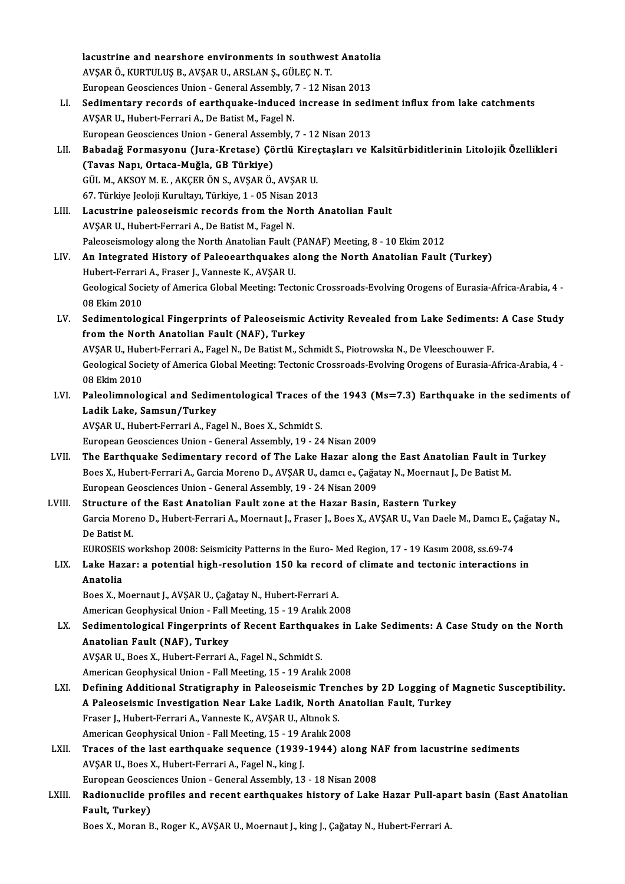lacustrine and nearshore environments in southwest Anatolia<br>AVSARÖ, KURTULUS R. AVSARJU, ARSLAN S. CÜLEC N.T. AVŞAR Ö., KURTULUŞ B., AVŞAR U., ARSLAN Ş., GÜLEÇ N. T.<br>European Geosciences Union - General Assembly, 7 - 12 Nisan 2013 lacustrine and nearshore environments in southwest Anatoli<br>AVŞAR Ö., KURTULUŞ B., AVŞAR U., ARSLAN Ş., GÜLEÇ N. T.<br>European Geosciences Union - General Assembly, 7 - 12 Nisan 2013<br>Sedimentary necende of sentheuelse indused

- AVŞAR Ö., KURTULUŞ B., AVŞAR U., ARSLAN Ş., GÜLEÇ N. T.<br>European Geosciences Union General Assembly, 7 12 Nisan 2013<br>LI. Sedimentary records of earthquake-induced increase in sediment influx from lake catchments<br>AVSAR European Geosciences Union - General Assembly,<br>Sedimentary records of earthquake-induced<br>AVŞAR U., Hubert-Ferrari A., De Batist M., Fagel N.<br>European Ceosciences Union, Ceneral Assembly Sedimentary records of earthquake-induced increase in sedi<br>AVŞAR U., Hubert-Ferrari A., De Batist M., Fagel N.<br>European Geosciences Union - General Assembly, 7 - 12 Nisan 2013<br>Bahadağ Fermasyonu (Jura Kretase) Görtlü Kires AVŞAR U., Hubert-Ferrari A., De Batist M., Fagel N.<br>European Geosciences Union - General Assembly, 7 - 12 Nisan 2013<br>LII. Babadağ Formasyonu (Jura-Kretase) Çörtlü Kireçtaşları ve Kalsitürbiditlerinin Litolojik Özellikl
- European Geosciences Union General Assen<br>Babadağ Formasyonu (Jura-Kretase) Çö<br>(Tavas Napı, Ortaca-Muğla, GB Türkiye)<br>CÜL M AKSOVM E AKCERÖN S AKSARÖ Babadağ Formasyonu (Jura-Kretase) Çörtlü Kire<br>(Tavas Napı, Ortaca-Muğla, GB Türkiye)<br>GÜL M., AKSOY M. E. , AKÇER ÖN S., AVŞAR Ö., AVŞAR U.<br>67 Türkiye Jeoleji Kurultayı Türkiye 1 , 05 Nisen 2012 (Tavas Napı, Ortaca-Muğla, GB Türkiye)<br>GÜL M., AKSOY M. E. , AKÇER ÖN S., AVŞAR Ö., AVŞAR U.<br>67. Türkiye Jeoloji Kurultayı, Türkiye, 1 - 05 Nisan 2013<br>Laquetrina palaosojamis rosands fram tha Narth A 67. Türkiye Jeoloji Kurultayı, Türkiye, 1 - 05 Nisan 2013
- LIII. Lacustrine paleoseismic records from the North Anatolian Fault<br>AVSAR U., Hubert-Ferrari A., De Batist M., Fagel N. Paleoseismology along the North Anatolian Fault (PANAF) Meeting, 8 - 10 Ekim 2012 AVŞAR U., Hubert-Ferrari A., De Batist M., Fagel N.<br>Paleoseismology along the North Anatolian Fault (PANAF) Meeting, 8 - 10 Ekim 2012<br>LIV. An Integrated History of Paleoearthquakes along the North Anatolian Fault (Turkey)
- Paleoseismology along the North Anatolian Fault (<br>An Integrated History of Paleoearthquakes a<br>Hubert-Ferrari A., Fraser J., Vanneste K., AVŞAR U.<br>Ceologiaal Sesiaty of America Clabel Meeting: Tect Geological Society of America Global Meeting: Tectonic Crossroads-Evolving Orogens of Eurasia-Africa-Arabia, 4 -<br>08 Ekim 2010 Hubert Ferrari A., Fraser J., Vanneste K., AVŞAR U. Geological Society of America Global Meeting: Tectonic Crossroads-Evolving Orogens of Eurasia-Africa-Arabia, 4<br>198 Ekim 2010<br>LV. Sedimentological Fingerprints of Paleoseismic Activity Revealed from Lake Sediments: A Case S
- 08 Ekim 2010<br>Sedimentological Fingerprints of Paleoseismic<br>from the North Anatolian Fault (NAF), Turkey<br>AVSAR U. Hubert Ferreri A. Fesel N. De Petist M. Se Sedimentological Fingerprints of Paleoseismic Activity Revealed from Lake Sediments<br>from the North Anatolian Fault (NAF), Turkey<br>AVŞAR U., Hubert-Ferrari A., Fagel N., De Batist M., Schmidt S., Piotrowska N., De Vleeschouw

from the North Anatolian Fault (NAF), Turkey<br>AVŞAR U., Hubert-Ferrari A., Fagel N., De Batist M., Schmidt S., Piotrowska N., De Vleeschouwer F.<br>Geological Society of America Global Meeting: Tectonic Crossroads-Evolving Oro AVŞAR U., Hubert-Ferrari A., Fagel N., De Batist M., Schmidt S., Piotrowska N., De Vleeschouwer F. Geological Society of America Global Meeting: Tectonic Crossroads-Evolving Orogens of Eurasia-Africa-Arabia, 4<br>198 Ekim 2010<br>LVI. Paleolimnological and Sedimentological Traces of the 1943 (Ms=7.3) Earthquake in the sedimen

08 Ekim 2010<br>Paleolimnological and Sedim<br>Ladik Lake, Samsun/Turkey<br>AVSAP IL Hubert Ferreri A. Fee Paleolimnological and Sedimentological Traces of<br>Ladik Lake, Samsun/Turkey<br>AVŞAR U., Hubert-Ferrari A., Fagel N., Boes X., Schmidt S.<br>European Coossiances Union, Coneral Assembly, 19, 24 Ladik Lake, Samsun/Turkey<br>AVŞAR U., Hubert-Ferrari A., Fagel N., Boes X., Schmidt S.<br>European Geosciences Union - General Assembly, 19 - 24 Nisan 2009

- AVŞAR U., Hubert-Ferrari A., Fagel N., Boes X., Schmidt S.<br>European Geosciences Union General Assembly, 19 24 Nisan 2009<br>LVII. The Earthquake Sedimentary record of The Lake Hazar along the East Anatolian Fault in Turke European Geosciences Union - General Assembly, 19 - 24 Nisan 2009<br>The Earthquake Sedimentary record of The Lake Hazar along the East Anatolian Fault in<br>Boes X., Hubert-Ferrari A., Garcia Moreno D., AVŞAR U., damcı e., Çağa European Geosciences Union - General Assembly, 19 - 24 Nisan 2009<br>Structure of the East Anatolian Fault zone at the Hazar Basin, Eastern Turkey Boes X., Hubert-Ferrari A., Garcia Moreno D., AVŞAR U., damcı e., Çağatay N., Moernaut J., De Batist M.<br>European Geosciences Union - General Assembly, 19 - 24 Nisan 2009<br>LVIII. Structure of the East Anatolian Fault zon
- European Geosciences Union General Assembly, 19 24 Nisan 2009<br>Structure of the East Anatolian Fault zone at the Hazar Basin, Eastern Turkey<br>Garcia Moreno D., Hubert-Ferrari A., Moernaut J., Fraser J., Boes X., AVŞAR U. **Structure<br>Garcia More<br>De Batist M.<br>EUROSEIS :** Garcia Moreno D., Hubert-Ferrari A., Moernaut J., Fraser J., Boes X., AVŞAR U., Van Daele M., Damcı E., (<br>De Batist M.<br>EUROSEIS workshop 2008: Seismicity Patterns in the Euro- Med Region, 17 - 19 Kasım 2008, ss.69-74<br>Lake

# De Batist M.<br>EUROSEIS workshop 2008: Seismicity Patterns in the Euro- Med Region, 17 - 19 Kasım 2008, ss.69-74<br>LIX. Lake Hazar: a potential high-resolution 150 ka record of climate and tectonic interactions in EUROSEIS workshop 2008: Seismicity Patterns in the Euro- Med Region, 17 - 19 Kasım 2008, ss.69-74<br>Lake Hazar: a potential high-resolution 150 ka record of climate and tectonic interactions<br>Anatolia<br>Boes X., Moernaut J., AV Lake Hazar: a potential high-resolution 150 ka record<br>Anatolia<br>Boes X., Moernaut J., AVŞAR U., Çağatay N., Hubert-Ferrari A.<br>American Coophysical Union, Fall Meeting 15, 19 Apalık 20

American Geophysical Union - Fall Meeting, 15 - 19 Aralık 2008

# Boes X., Moernaut J., AVŞAR U., Çağatay N., Hubert-Ferrari A.<br>American Geophysical Union - Fall Meeting, 15 - 19 Aralık 2008<br>LX. Sedimentological Fingerprints of Recent Earthquakes in Lake Sediments: A Case Study on the No American Geophysical Union - Fall<br>Sedimentological Fingerprints<br>Anatolian Fault (NAF), Turkey<br>AVSAP U. Boss X. Hubert Ferreri Sedimentological Fingerprints of Recent Earthqua<br>Anatolian Fault (NAF), Turkey<br>AVŞAR U., Boes X., Hubert-Ferrari A., Fagel N., Schmidt S.<br>American Coophysical Union, Fall Meeting 15, 19 Aralıl

Anatolian Fault (NAF), Turkey<br>AVŞAR U., Boes X., Hubert-Ferrari A., Fagel N., Schmidt S.<br>American Geophysical Union - Fall Meeting, 15 - 19 Aralık 2008

- AVŞAR U., Boes X., Hubert-Ferrari A., Fagel N., Schmidt S.<br>American Geophysical Union Fall Meeting, 15 19 Aralık 2008<br>LXI. Defining Additional Stratigraphy in Paleoseismic Trenches by 2D Logging of Magnetic Susceptibil American Geophysical Union - Fall Meeting, 15 - 19 Aralık 2008<br>Defining Additional Stratigraphy in Paleoseismic Trenches by 2D Logging of l<br>A Paleoseismic Investigation Near Lake Ladik, North Anatolian Fault, Turkey<br>Fraser Defining Additional Stratigraphy in Paleoseismic Tren<br>A Paleoseismic Investigation Near Lake Ladik, North *I*<br>Fraser J., Hubert-Ferrari A., Vanneste K., AVŞAR U., Altınok S.<br>American Coophysical Union, Fall Meeting 15, 19 A Paleoseismic Investigation Near Lake Ladik, North Anatolian Fault, Turkey<br>Fraser J., Hubert-Ferrari A., Vanneste K., AVŞAR U., Altınok S.<br>American Geophysical Union - Fall Meeting, 15 - 19 Aralık 2008 Fraser J., Hubert-Ferrari A., Vanneste K., AVŞAR U., Altınok S.<br>American Geophysical Union - Fall Meeting, 15 - 19 Aralık 2008<br>LXII. Traces of the last earthquake sequence (1939-1944) along NAF from lacustrine sediment
- American Geophysical Union Fall Meeting, 15 19 A<br>Traces of the last earthquake sequence (1939-<br>AVŞAR U., Boes X., Hubert-Ferrari A., Fagel N., king J.<br>Furonean Geograpee Union Ceneral Assembly 12 Traces of the last earthquake sequence (1939-1944) along N.<br>AVŞAR U., Boes X., Hubert-Ferrari A., Fagel N., king J.<br>European Geosciences Union - General Assembly, 13 - 18 Nisan 2008<br>Bedienvelide prefiles and resent earthqu AVŞAR U., Boes X., Hubert-Ferrari A., Fagel N., king J.<br>European Geosciences Union - General Assembly, 13 - 18 Nisan 2008<br>LXIII. Radionuclide profiles and recent earthquakes history of Lake Hazar Pull-apart basin (East
- European Geosciences Union General Assembly, 13 18 Nisan 2008<br>Radionuclide profiles and recent earthquakes history of Lake Hazar Pull-apa<br>Fault, Turkey)<br>Boes X., Moran B., Roger K., AVŞAR U., Moernaut J., king J., Çağa Radionuclide profiles and recent earthquakes history of Lake Hazar Pull-apa<br>Fault, Turkey)<br>Boes X., Moran B., Roger K., AVŞAR U., Moernaut J., king J., Çağatay N., Hubert-Ferrari A.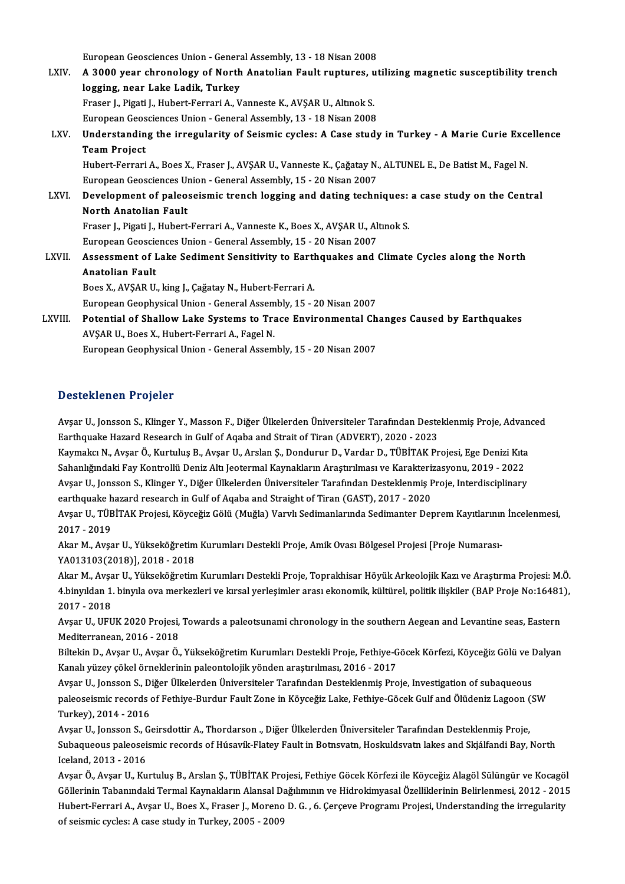European Geosciences Union - General Assembly, 13 - 18 Nisan 2008<br>A 2000 year shnapelegy of North Anatolian Foult nuntures, ut

- LXIV. A 3000 year chronology of North Anatolian Fault ruptures, utilizing magnetic susceptibility trench<br>logging, near Lake Ladik, Turkey European Geosciences Union - Genera<br>A 3000 year chronology of North<br>logging, near Lake Ladik, Turkey<br>Ensen L Bissti L Hubert Fenneri A. V A 3000 year chronology of North Anatolian Fault ruptures, u<br>logging, near Lake Ladik, Turkey<br>Fraser J., Pigati J., Hubert-Ferrari A., Vanneste K., AVŞAR U., Altınok S.<br>Euronean Cesesianees Union, Ceneral Assembly 12, 19 Ni logging, near Lake Ladik, Turkey<br>Fraser J., Pigati J., Hubert-Ferrari A., Vanneste K., AVŞAR U., Altınok S.<br>European Geosciences Union - General Assembly, 13 - 18 Nisan 2008<br>Understanding the irregularity of Seismis sysles
- Fraser J., Pigati J., Hubert-Ferrari A., Vanneste K., AVŞAR U., Altmok S.<br>European Geosciences Union General Assembly, 13 18 Nisan 2008<br>LXV. Understanding the irregularity of Seismic cycles: A Case study in Turkey European Geosciences Union - General Assembly, 13 - 18 Nisan 2008<br>Understanding the irregularity of Seismic cycles: A Case stud<br>Team Project Understanding the irregularity of Seismic cycles: A Case study in Turkey - A Marie Curie Exce<br>Team Project<br>Hubert-Ferrari A., Boes X., Fraser J., AVŞAR U., Vanneste K., Çağatay N., ALTUNEL E., De Batist M., Fagel N.<br>Europe

Hubert-Ferrari A., Boes X., Fraser J., AVŞAR U., Vanneste K., Çağatay N., ALTUNEL E., De Batist M., Fagel N.<br>European Geosciences Union - General Assembly, 15 - 20 Nisan 2007 Hubert-Ferrari A., Boes X., Fraser J., AVŞAR U., Vanneste K., Çağatay N., ALTUNEL E., De Batist M., Fagel N.<br>European Geosciences Union - General Assembly, 15 - 20 Nisan 2007<br>LXVI. Development of paleoseismic trench loggin

### European Geosciences Un<br>Development of paleo:<br>North Anatolian Fault<br>Enasor L. Bisati L. Hubert Development of paleoseismic trench logging and dating techniques:<br>North Anatolian Fault<br>Fraser J., Pigati J., Hubert-Ferrari A., Vanneste K., Boes X., AVŞAR U., Altınok S.<br>European Coossianees Union, Coneral Assembly, 15,, North Anatolian Fault<br>Fraser J., Pigati J., Hubert-Ferrari A., Vanneste K., Boes X., AVŞAR U., Altınok S.<br>European Geosciences Union - General Assembly, 15 - 20 Nisan 2007

Fraser J., Pigati J., Hubert-Ferrari A., Vanneste K., Boes X., AVŞAR U., Altmok S.<br>European Geosciences Union - General Assembly, 15 - 20 Nisan 2007<br>LXVII. Assessment of Lake Sediment Sensitivity to Earthquakes and Climate European Geoscie<br>Assessment of I<br>Anatolian Fault<br>Pees Y AVSAR II Assessment of Lake Sediment Sensitivity to Eart<br>Anatolian Fault<br>Boes X., AVŞAR U., king J., Çağatay N., Hubert-Ferrari A.<br>European Ceaphysical Union, Ceneral Assembly 15, 1 Anatolian Fault<br>Boes X., AVŞAR U., king J., Çağatay N., Hubert-Ferrari A.<br>European Geophysical Union - General Assembly, 15 - 20 Nisan 2007

LXVIII. Potential of Shallow Lake Systems to Trace Environmental Changes Caused by Earthquakes AVŞAR U., Boes X., Hubert-Ferrari A., Fagel N. European Geophysical Union - General Assembly, 15 - 20 Nisan 2007

### Desteklenen Projeler

Avsar U., Jonsson S., Klinger Y., Masson F., Diğer Ülkelerden Üniversiteler Tarafından Desteklenmiş Proje, Advanced Earthquake Hazard Research in Gulf of Aqaba and Strait of Tiran (ADVERT), 2020 - 2023 Avşar U., Jonsson S., Klinger Y., Masson F., Diğer Ülkelerden Üniversiteler Tarafından Desteklenmiş Proje, Advan<br>Earthquake Hazard Research in Gulf of Aqaba and Strait of Tiran (ADVERT), 2020 - 2023<br>Kaymakcı N., Avşar Ö.,

Earthquake Hazard Research in Gulf of Aqaba and Strait of Tiran (ADVERT), 2020 - 2023<br>Kaymakcı N., Avşar Ö., Kurtuluş B., Avşar U., Arslan Ş., Dondurur D., Vardar D., TÜBİTAK Projesi, Ege Denizi Kıta<br>Sahanlığındaki Fay Kon Kaymakcı N., Avşar Ö., Kurtuluş B., Avşar U., Arslan Ş., Dondurur D., Vardar D., TÜBİTAK Projesi, Ege Denizi Kıta<br>Sahanlığındaki Fay Kontrollü Deniz Altı Jeotermal Kaynakların Araştırılması ve Karakterizasyonu, 2019 - 2022 Sahanlığındaki Fay Kontrollü Deniz Altı Jeotermal Kaynakların Araştırılması ve Karakteri:<br>Avşar U., Jonsson S., Klinger Y., Diğer Ülkelerden Üniversiteler Tarafından Desteklenmiş F<br>earthquake hazard research in Gulf of Aqa Avşar U., Jonsson S., Klinger Y., Diğer Ülkelerden Üniversiteler Tarafından Desteklenmiş Proje, Interdisciplinary<br>earthquake hazard research in Gulf of Aqaba and Straight of Tiran (GAST), 2017 - 2020<br>Avşar U., TÜBİTAK Proj

earthquake h<br>Avşar U., TÜB<br>2017 - 2019<br>Alm M., Avas Avşar U., TÜBİTAK Projesi, Köyceğiz Gölü (Muğla) Varvlı Sedimanlarında Sedimanter Deprem Kayıtlarınıı<br>2017 - 2019<br>Akar M., Avşar U., Yükseköğretim Kurumları Destekli Proje, Amik Ovası Bölgesel Projesi [Proje Numarası-<br>YA01

2017 - 2019<br>Akar M., Avşar U., Yükseköğretim Kurumları Destekli Proje, Amik Ovası Bölgesel Projesi [Proje Numarası-<br>YA013103(2018)], 2018 - 2018 Akar M., Avşar U., Yükseköğretim Kurumları Destekli Proje, Amik Ovası Bölgesel Projesi [Proje Numarası-<br>YA013103(2018)], 2018 - 2018<br>Akar M., Avşar U., Yükseköğretim Kurumları Destekli Proje, Toprakhisar Höyük Arkeolojik K

YA013103(2018)], 2018 - 2018<br>Akar M., Avşar U., Yükseköğretim Kurumları Destekli Proje, Toprakhisar Höyük Arkeolojik Kazı ve Araştırma Projesi: M.Ö.<br>4.binyıldan 1. binyıla ova merkezleri ve kırsal yerleşimler arası ekonomi Akar M., Avşa<br>4.binyıldan 1.<br>2017 - 2018<br>Avsar U. UEU 4.binyıldan 1. binyıla ova merkezleri ve kırsal yerleşimler arası ekonomik, kültürel, politik ilişkiler (BAP Proje No:16481),<br>2017 - 2018<br>Avşar U., UFUK 2020 Projesi, Towards a paleotsunami chronology in the southern Aegea

Avşar U., UFUK 2020 Projesi, Towards a paleotsunami chronology in the southern Aegean and Levantine seas, Eastern Avşar U., UFUK 2020 Projesi, Towards a paleotsunami chronology in the southern Aegean and Levantine seas, Eastern<br>Mediterranean, 2016 - 2018<br>Biltekin D., Avşar U., Avşar Ö., Yükseköğretim Kurumları Destekli Proje, Fethiye-

Mediterranean, 2016 - 2018<br>Biltekin D., Avşar U., Avşar Ö., Yükseköğretim Kurumları Destekli Proje, Fethiye-G<br>Kanalı yüzey çökel örneklerinin paleontolojik yönden araştırılması, 2016 - 2017<br>Avsar U. Jansson S. Diğer Ülkele Biltekin D., Avşar U., Avşar Ö., Yükseköğretim Kurumları Destekli Proje, Fethiye-Göcek Körfezi, Köyceğiz Gölü ve I<br>Kanalı yüzey çökel örneklerinin paleontolojik yönden araştırılması, 2016 - 2017<br>Avşar U., Jonsson S., Diğer

Kanalı yüzey çökel örneklerinin paleontolojik yönden araştırılması, 2016 - 2017<br>Avşar U., Jonsson S., Diğer Ülkelerden Üniversiteler Tarafından Desteklenmiş Proje, Investigation of subaqueous<br>paleoseismic records of Fethiy Avşar U., Jonsson S., Diğer Ülkelerden Üniversiteler Tarafından Desteklenmiş Proje, Investigation of subaqueous paleoseismic records of Fethiye-Burdur Fault Zone in Köyceğiz Lake, Fethiye-Göcek Gulf and Ölüdeniz Lagoon (<br>Turkey), 2014 - 2016<br>Avşar U., Jonsson S., Geirsdottir A., Thordarson ., Diğer Ülkelerden Üniversiteler Tarafında

Turkey), 2014 - 2016<br>Avşar U., Jonsson S., Geirsdottir A., Thordarson ., Diğer Ülkelerden Üniversiteler Tarafından Desteklenmiş Proje,<br>Subaqueous paleoseismic records of Húsavík-Flatey Fault in Botnsvatn, Hoskuldsvatn lake Avşar U., Jonsson S., C<br>Subaqueous paleosei<br>Iceland, 2013 - 2016<br>Avsar Ö., Avsar II., K., Subaqueous paleoseismic records of Húsavík-Flatey Fault in Botnsvatn, Hoskuldsvatn lakes and Skjálfandi Bay, North<br>Iceland, 2013 - 2016<br>Avşar Ö., Avşar U., Kurtuluş B., Arslan Ş., TÜBİTAK Projesi, Fethiye Göcek Körfezi ile

Iceland, 2013 - 2016<br>Avşar Ö., Avşar U., Kurtuluş B., Arslan Ş., TÜBİTAK Projesi, Fethiye Göcek Körfezi ile Köyceğiz Alagöl Sülüngür ve Kocagöl<br>Göllerinin Tabanındaki Termal Kaynakların Alansal Dağılımının ve Hidrokimyasal Avşar Ö., Avşar U., Kurtuluş B., Arslan Ş., TÜBİTAK Projesi, Fethiye Göcek Körfezi ile Köyceğiz Alagöl Sülüngür ve Kocagöl<br>Göllerinin Tabanındaki Termal Kaynakların Alansal Dağılımının ve Hidrokimyasal Özelliklerinin Belir Hubert-Ferrari A., Avşar U., Boes X., Fraser J., Moreno D. G. , 6. Çerçeve Programı Projesi, Understanding the irregularity<br>of seismic cycles: A case study in Turkey, 2005 - 2009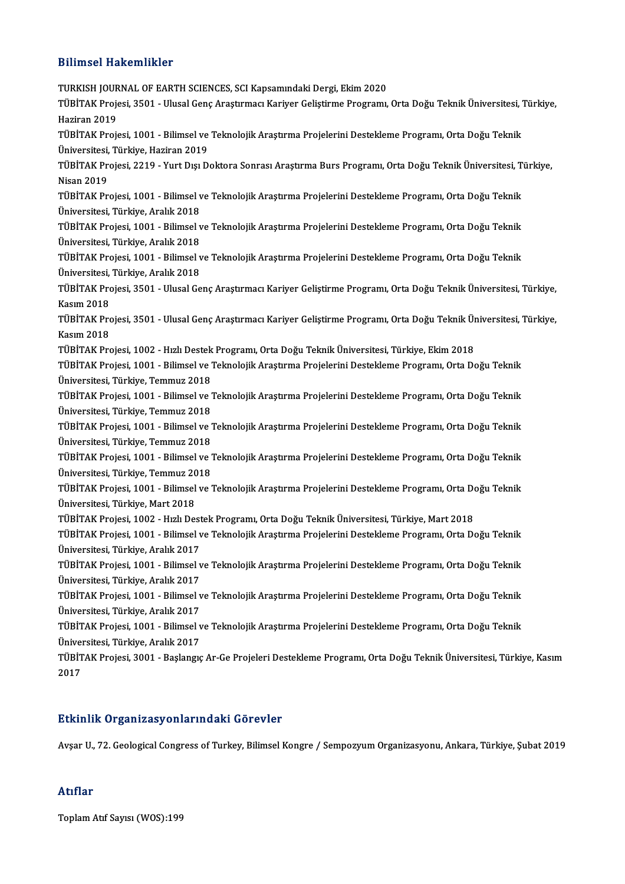### Bilimsel Hakemlikler

Bilimsel Hakemlikler<br>TURKISH JOURNAL OF EARTH SCIENCES, SCI Kapsamındaki Dergi, Ekim 2020<br>TÜRİTAK Prejesi, 3501 - Ulusal Cana Arastırması Kariyer Celistinne Prestamı TÜBİTAK Projesi, 3501 - Ulusal Genç Araştırmacı Kariyer Geliştirme Programı, Orta Doğu Teknik Üniversitesi, Türkiye,<br>Haziran 2019 TURKISH JOUR<br>TÜBİTAK Proje<br>Haziran 2019<br>TÜPİTAK Proj TÜBİTAK Projesi, 3501 - Ulusal Genç Araştırmacı Kariyer Geliştirme Programı, Orta Doğu Teknik Üniversitesi, "<br>Haziran 2019<br>TÜBİTAK Projesi, 1001 - Bilimsel ve Teknolojik Araştırma Projelerini Destekleme Programı, Orta Doğu Haziran 2019<br>TÜBİTAK Projesi, 1001 - Bilimsel ve<br>Üniversitesi, Türkiye, Haziran 2019<br>TÜRİTAK Projesi, 2210 - Yurt Dısı D TÜBİTAK Projesi, 1001 - Bilimsel ve Teknolojik Araştırma Projelerini Destekleme Programı, Orta Doğu Teknik<br>Üniversitesi, Türkiye, Haziran 2019<br>TÜBİTAK Projesi, 2219 - Yurt Dışı Doktora Sonrası Araştırma Burs Programı, Orta Üniversitesi,<br>TÜBİTAK Pr<br>Nisan 2019<br>TÜPİTAK Pr TÜBİTAK Projesi, 2219 - Yurt Dışı Doktora Sonrası Araştırma Burs Programı, Orta Doğu Teknik Üniversitesi, T<br>Nisan 2019<br>TÜBİTAK Projesi, 1001 - Bilimsel ve Teknolojik Araştırma Projelerini Destekleme Programı, Orta Doğu Tek Nisan 2019<br>TÜBİTAK Projesi, 1001 - Bilimsel ve Teknolojik Araştırma Projelerini Destekleme Programı, Orta Doğu Teknik<br>Üniversitesi, Türkiye, Aralık 2018 TÜBİTAK Projesi, 1001 - Bilimsel ve Teknolojik Araştırma Projelerini Destekleme Programı, Orta Doğu Teknik<br>Üniversitesi, Türkiye, Aralık 2018<br>TÜBİTAK Projesi, 1001 - Bilimsel ve Teknolojik Araştırma Projelerini Destekleme Üniversitesi, Türkiye, Aralık 2018<br>TÜBİTAK Projesi, 1001 - Bilimsel v<br>Üniversitesi, Türkiye, Aralık 2018<br>TÜBİTAK Projesi, 1001 - Bilimsel v TÜBİTAK Projesi, 1001 - Bilimsel ve Teknolojik Araştırma Projelerini Destekleme Programı, Orta Doğu Teknik<br>Üniversitesi, Türkiye, Aralık 2018<br>TÜBİTAK Projesi, 1001 - Bilimsel ve Teknolojik Araştırma Projelerini Destekleme Üniversitesi, Türkiye, Aralık 2018<br>TÜBİTAK Projesi, 1001 - Bilimsel v<br>Üniversitesi, Türkiye, Aralık 2018<br>TÜBİTAK Projesi, 3501 - Hlusal Co TÜBİTAK Projesi, 1001 - Bilimsel ve Teknolojik Araştırma Projelerini Destekleme Programı, Orta Doğu Teknik<br>Üniversitesi, Türkiye, Aralık 2018<br>TÜBİTAK Projesi, 3501 - Ulusal Genç Araştırmacı Kariyer Geliştirme Programı, Ort Üniversitesi, Türkiye, Aralık 2018<br>TÜBİTAK Projesi, 3501 - Ulusal Genç Araştırmacı Kariyer Geliştirme Programı, Orta Doğu Teknik Üniversitesi, Türkiye,<br>Kasım 2018 TÜBİTAK Projesi, 3501 - Ulusal Genç Araştırmacı Kariyer Geliştirme Programı, Orta Doğu Teknik Üniversitesi, Türkiye,<br>Kasım 2018<br>TÜBİTAK Projesi, 3501 - Ulusal Genç Araştırmacı Kariyer Geliştirme Programı, Orta Doğu Teknik Kasım 2018<br>TÜBİTAK Pro<br>Kasım 2018<br>TÜPİTAK Pro TÜBİTAK Projesi, 3501 - Ulusal Genç Araştırmacı Kariyer Geliştirme Programı, Orta Doğu Teknik Ür<br>Kasım 2018<br>TÜBİTAK Projesi, 1002 - Hızlı Destek Programı, Orta Doğu Teknik Üniversitesi, Türkiye, Ekim 2018<br>TÜBİTAK Projesi, Kasım 2018<br>TÜBİTAK Projesi, 1002 - Hızlı Destek Programı, Orta Doğu Teknik Üniversitesi, Türkiye, Ekim 2018<br>TÜBİTAK Projesi, 1001 - Bilimsel ve Teknolojik Araştırma Projelerini Destekleme Programı, Orta Doğu Teknik<br>Ünivers TÜBİTAK Projesi, 1002 - Hızlı Destek<br>TÜBİTAK Projesi, 1001 - Bilimsel ve<br>Üniversitesi, Türkiye, Temmuz 2018<br>TÜBİTAK Projesi, 1001 - Bilimsel ve TÜBİTAK Projesi, 1001 - Bilimsel ve Teknolojik Araştırma Projelerini Destekleme Programı, Orta Doğu Teknik<br>Üniversitesi, Türkiye, Temmuz 2018<br>TÜBİTAK Projesi, 1001 - Bilimsel ve Teknolojik Araştırma Projelerini Destekleme Üniversitesi, Türkiye, Temmuz 2018<br>TÜBİTAK Projesi, 1001 - Bilimsel ve<br>Üniversitesi, Türkiye, Temmuz 2018<br>TÜBİTAK Projesi, 1001 - Bilimsel ve TÜBİTAK Projesi, 1001 - Bilimsel ve Teknolojik Araştırma Projelerini Destekleme Programı, Orta Doğu Teknik<br>Üniversitesi, Türkiye, Temmuz 2018<br>TÜBİTAK Projesi, 1001 - Bilimsel ve Teknolojik Araştırma Projelerini Destekleme Üniversitesi, Türkiye, Temmuz 2018<br>TÜBİTAK Projesi, 1001 - Bilimsel ve<br>Üniversitesi, Türkiye, Temmuz 2018<br>TÜBİTAK Projesi, 1001 - Bilimsel ve TÜBİTAK Projesi, 1001 - Bilimsel ve Teknolojik Araştırma Projelerini Destekleme Programı, Orta Doğu Teknik<br>Üniversitesi, Türkiye, Temmuz 2018<br>TÜBİTAK Projesi, 1001 - Bilimsel ve Teknolojik Araştırma Projelerini Destekleme Üniversitesi, Türkiye, Temmuz 2018<br>TÜBİTAK Projesi, 1001 - Bilimsel ve<br>Üniversitesi, Türkiye, Temmuz 2018<br>TÜBİTAK Projesi, 1001 - Bilimsel ve TÜBİTAK Projesi, 1001 - Bilimsel ve Teknolojik Araştırma Projelerini Destekleme Programı, Orta Doğu Teknik<br>Üniversitesi, Türkiye, Temmuz 2018<br>TÜBİTAK Projesi, 1001 - Bilimsel ve Teknolojik Araştırma Projelerini Destekleme Üniversitesi, Türkiye, Temmuz 20<br>TÜBİTAK Projesi, 1001 - Bilimsel<br>Üniversitesi, Türkiye, Mart 2018<br>TÜBİTAK Projesi, 1002 - Hırlı De TÜBİTAK Projesi, 1001 - Bilimsel ve Teknolojik Araştırma Projelerini Destekleme Programı, Orta Doğu<br>Üniversitesi, Türkiye, Mart 2018<br>TÜBİTAK Projesi, 1002 - Hızlı Destek Programı, Orta Doğu Teknik Üniversitesi, Türkiye, Ma Üniversitesi, Türkiye, Mart 2018<br>TÜBİTAK Projesi, 1002 - Hızlı Destek Programı, Orta Doğu Teknik Üniversitesi, Türkiye, Mart 2018<br>TÜBİTAK Projesi, 1001 - Bilimsel ve Teknolojik Araştırma Projelerini Destekleme Programı, Or TÜBİTAK Projesi, 1002 - Hızlı Dest<br>TÜBİTAK Projesi, 1001 - Bilimsel v<br>Üniversitesi, Türkiye, Aralık 2017<br>TÜBİTAK Projesi, 1001 - Bilimsel v TÜBİTAK Projesi, 1001 - Bilimsel ve Teknolojik Araştırma Projelerini Destekleme Programı, Orta Doğu Teknik<br>Üniversitesi, Türkiye, Aralık 2017<br>TÜBİTAK Projesi, 1001 - Bilimsel ve Teknolojik Araştırma Projelerini Destekleme Üniversitesi, Türkiye, Aralık 2017<br>TÜBİTAK Projesi, 1001 - Bilimsel v<br>Üniversitesi, Türkiye, Aralık 2017<br>TÜBİTAK Projesi, 1001 - Bilimsel v TÜBİTAK Projesi, 1001 - Bilimsel ve Teknolojik Araştırma Projelerini Destekleme Programı, Orta Doğu Teknik<br>Üniversitesi, Türkiye, Aralık 2017<br>TÜBİTAK Projesi, 1001 - Bilimsel ve Teknolojik Araştırma Projelerini Destekleme Üniversitesi, Türkiye, Aralık 2017<br>TÜBİTAK Projesi, 1001 - Bilimsel v<br>Üniversitesi, Türkiye, Aralık 2017<br>TÜBİTAK Projesi, 1001 - Bilimsel v TÜBİTAK Projesi, 1001 - Bilimsel ve Teknolojik Araştırma Projelerini Destekleme Programı, Orta Doğu Teknik<br>Üniversitesi, Türkiye, Aralık 2017<br>TÜBİTAK Projesi, 1001 - Bilimsel ve Teknolojik Araştırma Projelerini Destekleme Üniversitesi, Türkiye, Aralık 2017<br>TÜBİTAK Projesi, 1001 - Bilimsel ve Teknolojik Araştırma Projelerini Destekleme Programı, Orta Doğu Teknik<br>Üniversitesi, Türkiye, Aralık 2017 TÜBİTAK Projesi, 1001 - Bilimsel ve Teknolojik Araştırma Projelerini Destekleme Programı, Orta Doğu Teknik<br>Üniversitesi, Türkiye, Aralık 2017<br>TÜBİTAK Projesi, 3001 - Başlangıç Ar-Ge Projeleri Destekleme Programı, Orta Doğu Üniveı<br>TÜBİT<br>2017 Etkinlik Organizasyonlarındaki Görevler

AvşarU.,72.GeologicalCongress ofTurkey,BilimselKongre / SempozyumOrganizasyonu,Ankara,Türkiye,Şubat2019

### Atıflar

ToplamAtıf Sayısı (WOS):199